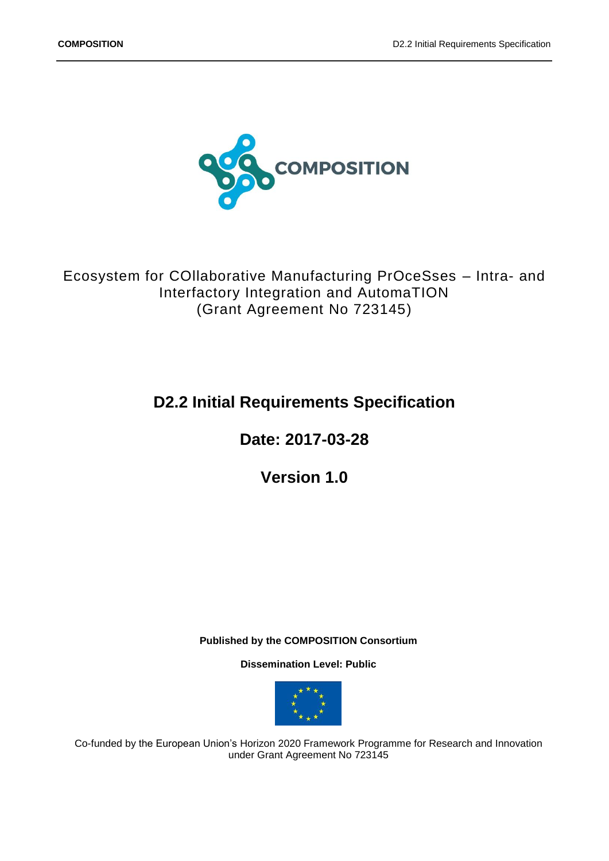

Ecosystem for COllaborative Manufacturing PrOceSses – Intra- and Interfactory Integration and AutomaTION (Grant Agreement No 723145)

# **D2.2 Initial Requirements Specification**

**Date: 2017-03-28**

**Version 1.0**

**Published by the COMPOSITION Consortium** 

**Dissemination Level: Public**



Co-funded by the European Union's Horizon 2020 Framework Programme for Research and Innovation under Grant Agreement No 723145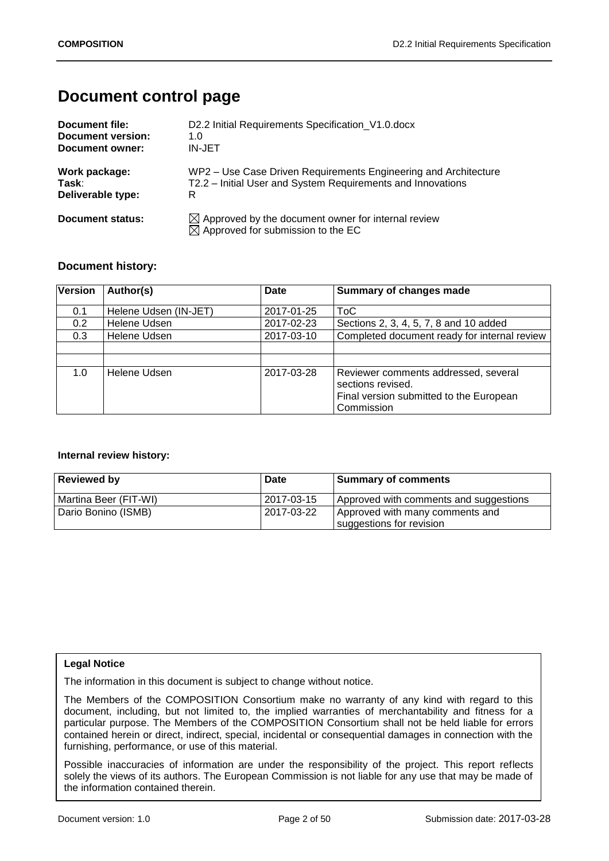# **Document control page**

| Document file:    | D2.2 Initial Requirements Specification_V1.0.docx                                                               |
|-------------------|-----------------------------------------------------------------------------------------------------------------|
| Document version: | 1.0                                                                                                             |
| Document owner:   | IN-JET                                                                                                          |
| Work package:     | WP2 – Use Case Driven Requirements Engineering and Architecture                                                 |
| Task:             | T2.2 – Initial User and System Requirements and Innovations                                                     |
| Deliverable type: | R                                                                                                               |
| Document status:  | $\boxtimes$ Approved by the document owner for internal review<br>$\boxtimes$ Approved for submission to the EC |

## **Document history:**

| <b>Version</b>   | Author(s)             | <b>Date</b> | Summary of changes made                                                                                            |
|------------------|-----------------------|-------------|--------------------------------------------------------------------------------------------------------------------|
|                  |                       |             |                                                                                                                    |
| 0.1              | Helene Udsen (IN-JET) | 2017-01-25  | ToC                                                                                                                |
| 0.2 <sub>0</sub> | Helene Udsen          | 2017-02-23  | Sections 2, 3, 4, 5, 7, 8 and 10 added                                                                             |
| 0.3 <sub>2</sub> | Helene Udsen          | 2017-03-10  | Completed document ready for internal review                                                                       |
|                  |                       |             |                                                                                                                    |
|                  |                       |             |                                                                                                                    |
| 1.0              | Helene Udsen          | 2017-03-28  | Reviewer comments addressed, several<br>sections revised.<br>Final version submitted to the European<br>Commission |

### **Internal review history:**

| <b>Reviewed by</b>       | Date       | <b>Summary of comments</b>                                  |
|--------------------------|------------|-------------------------------------------------------------|
| l Martina Beer (FIT-WI). | 2017-03-15 | Approved with comments and suggestions                      |
| Dario Bonino (ISMB)      | 2017-03-22 | Approved with many comments and<br>suggestions for revision |

### **Legal Notice**

The information in this document is subject to change without notice.

The Members of the COMPOSITION Consortium make no warranty of any kind with regard to this document, including, but not limited to, the implied warranties of merchantability and fitness for a particular purpose. The Members of the COMPOSITION Consortium shall not be held liable for errors contained herein or direct, indirect, special, incidental or consequential damages in connection with the furnishing, performance, or use of this material.

Possible inaccuracies of information are under the responsibility of the project. This report reflects solely the views of its authors. The European Commission is not liable for any use that may be made of the information contained therein.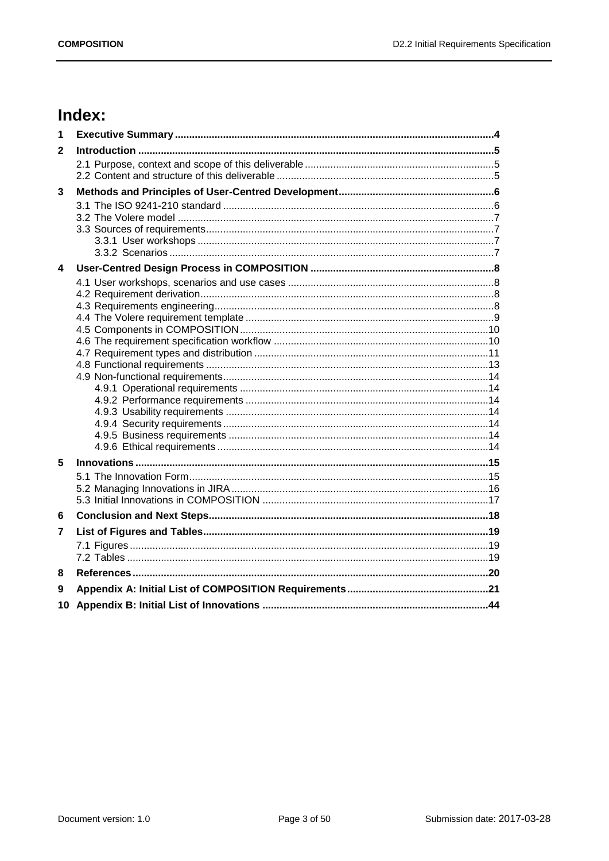# Index:

| 1            |  |
|--------------|--|
| $\mathbf{2}$ |  |
|              |  |
|              |  |
| 3            |  |
|              |  |
|              |  |
|              |  |
|              |  |
|              |  |
| 4            |  |
|              |  |
|              |  |
|              |  |
|              |  |
|              |  |
|              |  |
|              |  |
|              |  |
|              |  |
|              |  |
|              |  |
|              |  |
|              |  |
| 5            |  |
|              |  |
|              |  |
|              |  |
| 6            |  |
| 7            |  |
|              |  |
|              |  |
| 8            |  |
| 9            |  |
| 10           |  |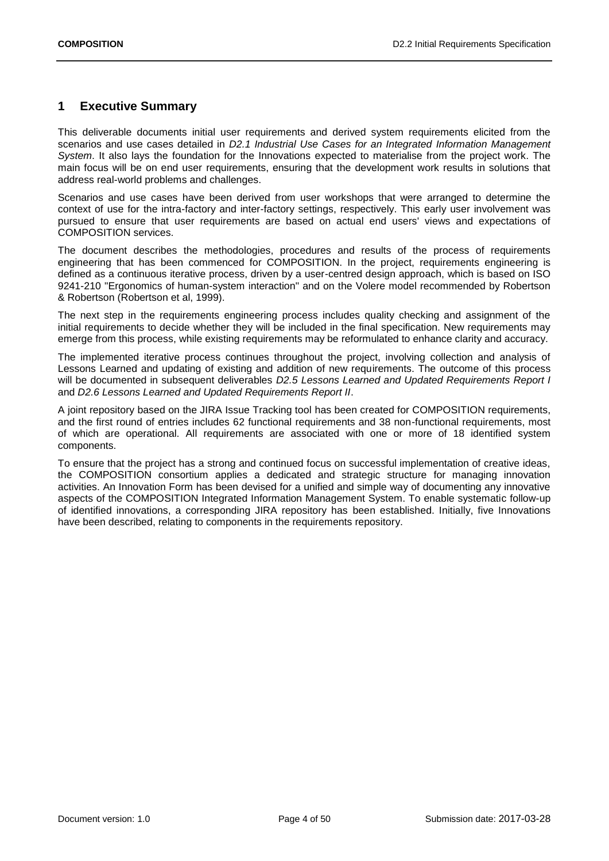## <span id="page-3-0"></span>**1 Executive Summary**

This deliverable documents initial user requirements and derived system requirements elicited from the scenarios and use cases detailed in *D2.1 Industrial Use Cases for an Integrated Information Management System*. It also lays the foundation for the Innovations expected to materialise from the project work. The main focus will be on end user requirements, ensuring that the development work results in solutions that address real-world problems and challenges.

Scenarios and use cases have been derived from user workshops that were arranged to determine the context of use for the intra-factory and inter-factory settings, respectively. This early user involvement was pursued to ensure that user requirements are based on actual end users' views and expectations of COMPOSITION services.

The document describes the methodologies, procedures and results of the process of requirements engineering that has been commenced for COMPOSITION. In the project, requirements engineering is defined as a continuous iterative process, driven by a user-centred design approach, which is based on ISO 9241-210 "Ergonomics of human-system interaction" and on the Volere model recommended by Robertson & Robertson (Robertson et al, 1999).

The next step in the requirements engineering process includes quality checking and assignment of the initial requirements to decide whether they will be included in the final specification. New requirements may emerge from this process, while existing requirements may be reformulated to enhance clarity and accuracy.

The implemented iterative process continues throughout the project, involving collection and analysis of Lessons Learned and updating of existing and addition of new requirements. The outcome of this process will be documented in subsequent deliverables *D2.5 Lessons Learned and Updated Requirements Report I* and *D2.6 Lessons Learned and Updated Requirements Report II*.

A joint repository based on the JIRA Issue Tracking tool has been created for COMPOSITION requirements, and the first round of entries includes 62 functional requirements and 38 non-functional requirements, most of which are operational. All requirements are associated with one or more of 18 identified system components.

To ensure that the project has a strong and continued focus on successful implementation of creative ideas, the COMPOSITION consortium applies a dedicated and strategic structure for managing innovation activities. An Innovation Form has been devised for a unified and simple way of documenting any innovative aspects of the COMPOSITION Integrated Information Management System. To enable systematic follow-up of identified innovations, a corresponding JIRA repository has been established. Initially, five Innovations have been described, relating to components in the requirements repository.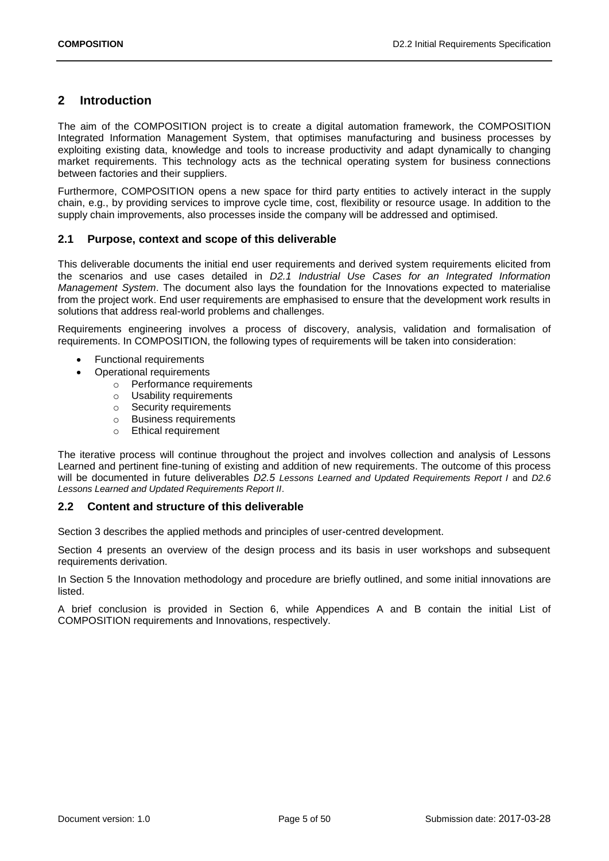## <span id="page-4-0"></span>**2 Introduction**

The aim of the COMPOSITION project is to create a digital automation framework, the COMPOSITION Integrated Information Management System, that optimises manufacturing and business processes by exploiting existing data, knowledge and tools to increase productivity and adapt dynamically to changing market requirements. This technology acts as the technical operating system for business connections between factories and their suppliers.

Furthermore, COMPOSITION opens a new space for third party entities to actively interact in the supply chain, e.g., by providing services to improve cycle time, cost, flexibility or resource usage. In addition to the supply chain improvements, also processes inside the company will be addressed and optimised.

## <span id="page-4-1"></span>**2.1 Purpose, context and scope of this deliverable**

This deliverable documents the initial end user requirements and derived system requirements elicited from the scenarios and use cases detailed in *D2.1 Industrial Use Cases for an Integrated Information Management System*. The document also lays the foundation for the Innovations expected to materialise from the project work. End user requirements are emphasised to ensure that the development work results in solutions that address real-world problems and challenges.

Requirements engineering involves a process of discovery, analysis, validation and formalisation of requirements. In COMPOSITION, the following types of requirements will be taken into consideration:

- Functional requirements
- Operational requirements
	- o Performance requirements
	- o Usability requirements
	- o Security requirements
	- o Business requirements
	- o Ethical requirement

The iterative process will continue throughout the project and involves collection and analysis of Lessons Learned and pertinent fine-tuning of existing and addition of new requirements. The outcome of this process will be documented in future deliverables *D2.5 Lessons Learned and Updated Requirements Report I* and *D2.6 Lessons Learned and Updated Requirements Report II*.

## <span id="page-4-2"></span>**2.2 Content and structure of this deliverable**

Section 3 describes the applied methods and principles of user-centred development.

Section 4 presents an overview of the design process and its basis in user workshops and subsequent requirements derivation.

In Section 5 the Innovation methodology and procedure are briefly outlined, and some initial innovations are listed.

A brief conclusion is provided in Section 6, while Appendices A and B contain the initial List of COMPOSITION requirements and Innovations, respectively.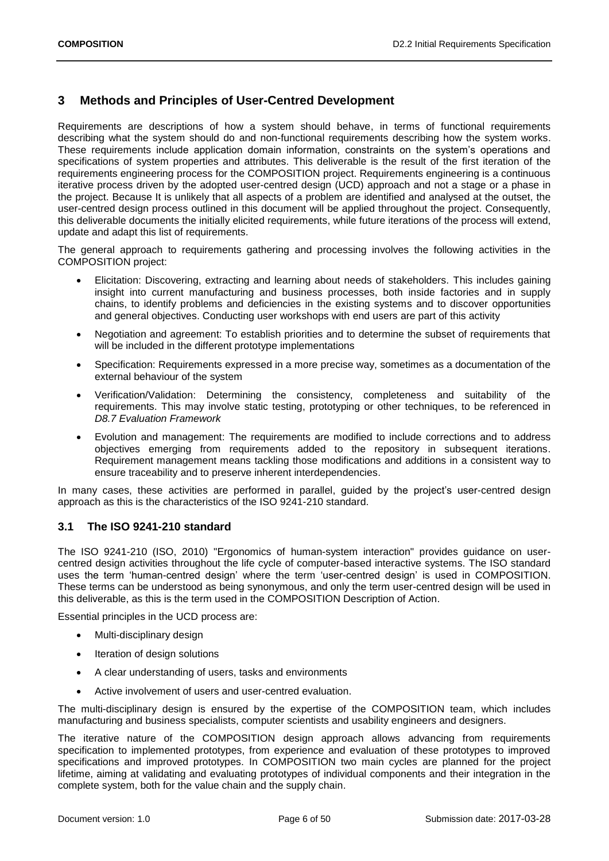## <span id="page-5-0"></span>**3 Methods and Principles of User-Centred Development**

Requirements are descriptions of how a system should behave, in terms of functional requirements describing what the system should do and non-functional requirements describing how the system works. These requirements include application domain information, constraints on the system's operations and specifications of system properties and attributes. This deliverable is the result of the first iteration of the requirements engineering process for the COMPOSITION project. Requirements engineering is a continuous iterative process driven by the adopted user-centred design (UCD) approach and not a stage or a phase in the project. Because It is unlikely that all aspects of a problem are identified and analysed at the outset, the user-centred design process outlined in this document will be applied throughout the project. Consequently, this deliverable documents the initially elicited requirements, while future iterations of the process will extend, update and adapt this list of requirements.

The general approach to requirements gathering and processing involves the following activities in the COMPOSITION project:

- Elicitation: Discovering, extracting and learning about needs of stakeholders. This includes gaining insight into current manufacturing and business processes, both inside factories and in supply chains, to identify problems and deficiencies in the existing systems and to discover opportunities and general objectives. Conducting user workshops with end users are part of this activity
- Negotiation and agreement: To establish priorities and to determine the subset of requirements that will be included in the different prototype implementations
- Specification: Requirements expressed in a more precise way, sometimes as a documentation of the external behaviour of the system
- Verification/Validation: Determining the consistency, completeness and suitability of the requirements. This may involve static testing, prototyping or other techniques, to be referenced in *D8.7 Evaluation Framework*
- Evolution and management: The requirements are modified to include corrections and to address objectives emerging from requirements added to the repository in subsequent iterations. Requirement management means tackling those modifications and additions in a consistent way to ensure traceability and to preserve inherent interdependencies.

In many cases, these activities are performed in parallel, guided by the project's user-centred design approach as this is the characteristics of the ISO 9241-210 standard.

## <span id="page-5-1"></span>**3.1 The ISO 9241-210 standard**

The ISO 9241-210 (ISO, 2010) "Ergonomics of human-system interaction" provides guidance on usercentred design activities throughout the life cycle of computer-based interactive systems. The ISO standard uses the term 'human-centred design' where the term 'user-centred design' is used in COMPOSITION. These terms can be understood as being synonymous, and only the term user-centred design will be used in this deliverable, as this is the term used in the COMPOSITION Description of Action.

Essential principles in the UCD process are:

- Multi-disciplinary design
- Iteration of design solutions
- A clear understanding of users, tasks and environments
- Active involvement of users and user-centred evaluation.

The multi-disciplinary design is ensured by the expertise of the COMPOSITION team, which includes manufacturing and business specialists, computer scientists and usability engineers and designers.

The iterative nature of the COMPOSITION design approach allows advancing from requirements specification to implemented prototypes, from experience and evaluation of these prototypes to improved specifications and improved prototypes. In COMPOSITION two main cycles are planned for the project lifetime, aiming at validating and evaluating prototypes of individual components and their integration in the complete system, both for the value chain and the supply chain.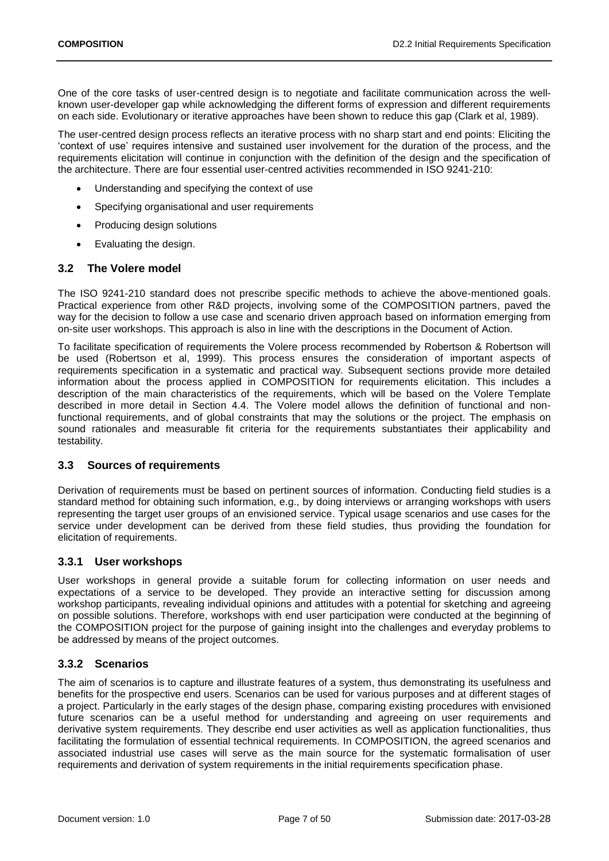One of the core tasks of user-centred design is to negotiate and facilitate communication across the wellknown user-developer gap while acknowledging the different forms of expression and different requirements on each side. Evolutionary or iterative approaches have been shown to reduce this gap (Clark et al, 1989).

The user-centred design process reflects an iterative process with no sharp start and end points: Eliciting the 'context of use' requires intensive and sustained user involvement for the duration of the process, and the requirements elicitation will continue in conjunction with the definition of the design and the specification of the architecture. There are four essential user-centred activities recommended in ISO 9241-210:

- Understanding and specifying the context of use
- Specifying organisational and user requirements
- Producing design solutions
- Evaluating the design.

### <span id="page-6-0"></span>**3.2 The Volere model**

The ISO 9241-210 standard does not prescribe specific methods to achieve the above-mentioned goals. Practical experience from other R&D projects, involving some of the COMPOSITION partners, paved the way for the decision to follow a use case and scenario driven approach based on information emerging from on-site user workshops. This approach is also in line with the descriptions in the Document of Action.

To facilitate specification of requirements the Volere process recommended by Robertson & Robertson will be used (Robertson et al, 1999). This process ensures the consideration of important aspects of requirements specification in a systematic and practical way. Subsequent sections provide more detailed information about the process applied in COMPOSITION for requirements elicitation. This includes a description of the main characteristics of the requirements, which will be based on the Volere Template described in more detail in Section [4.4.](#page-8-0) The Volere model allows the definition of functional and nonfunctional requirements, and of global constraints that may the solutions or the project. The emphasis on sound rationales and measurable fit criteria for the requirements substantiates their applicability and testability.

## <span id="page-6-1"></span>**3.3 Sources of requirements**

Derivation of requirements must be based on pertinent sources of information. Conducting field studies is a standard method for obtaining such information, e.g., by doing interviews or arranging workshops with users representing the target user groups of an envisioned service. Typical usage scenarios and use cases for the service under development can be derived from these field studies, thus providing the foundation for elicitation of requirements.

## <span id="page-6-2"></span>**3.3.1 User workshops**

User workshops in general provide a suitable forum for collecting information on user needs and expectations of a service to be developed. They provide an interactive setting for discussion among workshop participants, revealing individual opinions and attitudes with a potential for sketching and agreeing on possible solutions. Therefore, workshops with end user participation were conducted at the beginning of the COMPOSITION project for the purpose of gaining insight into the challenges and everyday problems to be addressed by means of the project outcomes.

## <span id="page-6-3"></span>**3.3.2 Scenarios**

The aim of scenarios is to capture and illustrate features of a system, thus demonstrating its usefulness and benefits for the prospective end users. Scenarios can be used for various purposes and at different stages of a project. Particularly in the early stages of the design phase, comparing existing procedures with envisioned future scenarios can be a useful method for understanding and agreeing on user requirements and derivative system requirements. They describe end user activities as well as application functionalities, thus facilitating the formulation of essential technical requirements. In COMPOSITION, the agreed scenarios and associated industrial use cases will serve as the main source for the systematic formalisation of user requirements and derivation of system requirements in the initial requirements specification phase.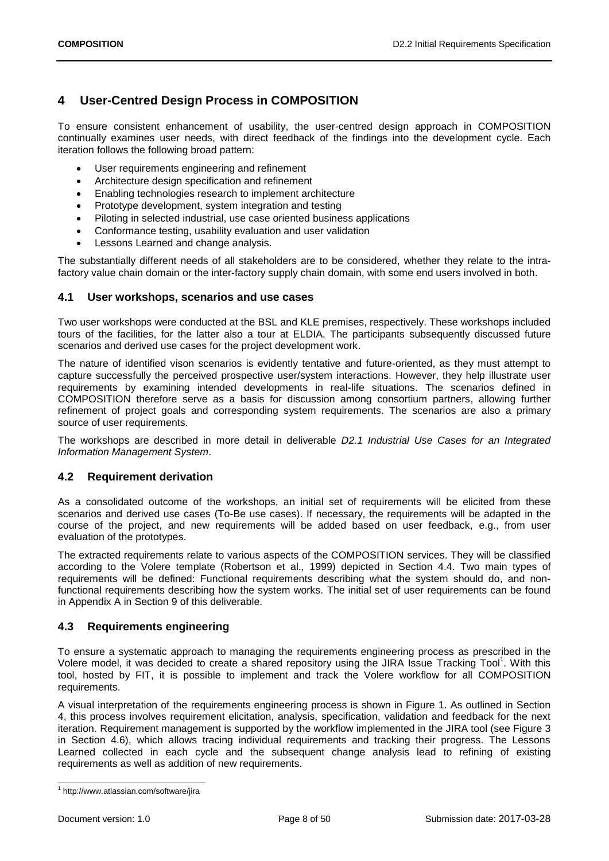## <span id="page-7-0"></span>**4 User-Centred Design Process in COMPOSITION**

To ensure consistent enhancement of usability, the user-centred design approach in COMPOSITION continually examines user needs, with direct feedback of the findings into the development cycle. Each iteration follows the following broad pattern:

- User requirements engineering and refinement
- Architecture design specification and refinement
- Enabling technologies research to implement architecture
- Prototype development, system integration and testing
- Piloting in selected industrial, use case oriented business applications
- Conformance testing, usability evaluation and user validation
- Lessons Learned and change analysis.

The substantially different needs of all stakeholders are to be considered, whether they relate to the intrafactory value chain domain or the inter-factory supply chain domain, with some end users involved in both.

## <span id="page-7-1"></span>**4.1 User workshops, scenarios and use cases**

Two user workshops were conducted at the BSL and KLE premises, respectively. These workshops included tours of the facilities, for the latter also a tour at ELDIA. The participants subsequently discussed future scenarios and derived use cases for the project development work.

The nature of identified vison scenarios is evidently tentative and future-oriented, as they must attempt to capture successfully the perceived prospective user/system interactions. However, they help illustrate user requirements by examining intended developments in real-life situations. The scenarios defined in COMPOSITION therefore serve as a basis for discussion among consortium partners, allowing further refinement of project goals and corresponding system requirements. The scenarios are also a primary source of user requirements.

The workshops are described in more detail in deliverable *D2.1 Industrial Use Cases for an Integrated Information Management System*.

## <span id="page-7-2"></span>**4.2 Requirement derivation**

As a consolidated outcome of the workshops, an initial set of requirements will be elicited from these scenarios and derived use cases (To-Be use cases). If necessary, the requirements will be adapted in the course of the project, and new requirements will be added based on user feedback, e.g., from user evaluation of the prototypes.

The extracted requirements relate to various aspects of the COMPOSITION services. They will be classified according to the Volere template (Robertson et al., 1999) depicted in Section [4.4.](#page-8-0) Two main types of requirements will be defined: Functional requirements describing what the system should do, and nonfunctional requirements describing how the system works. The initial set of user requirements can be found in Appendix A in Section [9](#page-20-0) of this deliverable.

## <span id="page-7-3"></span>**4.3 Requirements engineering**

To ensure a systematic approach to managing the requirements engineering process as prescribed in the Volere model, it was decided to create a shared repository using the JIRA Issue Tracking Tool<sup>1</sup>. With this tool, hosted by FIT, it is possible to implement and track the Volere workflow for all COMPOSITION requirements.

A visual interpretation of the requirements engineering process is shown in [Figure 1.](#page-8-1) As outlined in Section [4,](#page-7-0) this process involves requirement elicitation, analysis, specification, validation and feedback for the next iteration. Requirement management is supported by the workflow implemented in the JIRA tool (see [Figure 3](#page-10-1)  in Section [4.6\)](#page-9-1), which allows tracing individual requirements and tracking their progress. The Lessons Learned collected in each cycle and the subsequent change analysis lead to refining of existing requirements as well as addition of new requirements.

1

<sup>1</sup> http://www.atlassian.com/software/jira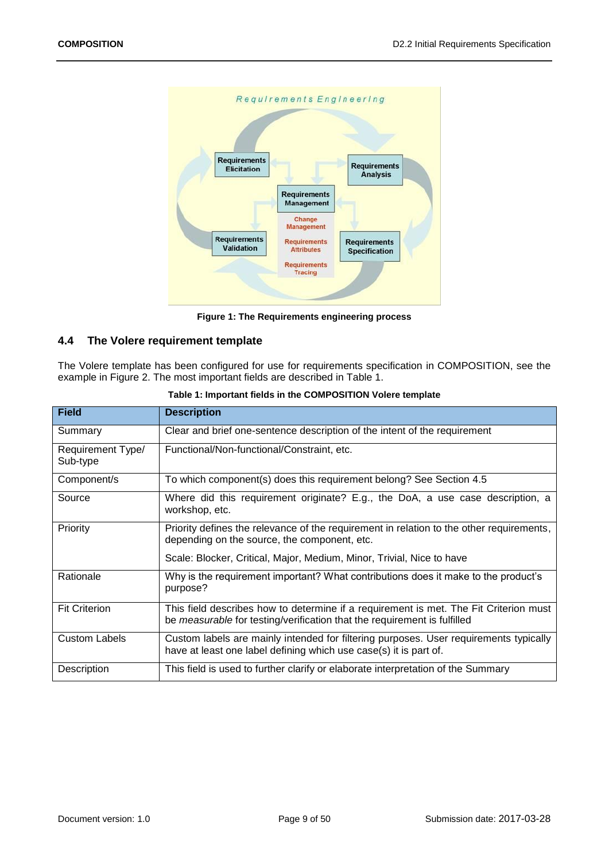

**Figure 1: The Requirements engineering process**

## <span id="page-8-1"></span><span id="page-8-0"></span>**4.4 The Volere requirement template**

The Volere template has been configured for use for requirements specification in COMPOSITION, see the example in [Figure 2.](#page-9-2) The most important fields are described in [Table 1.](#page-8-2)

<span id="page-8-2"></span>

| <b>Field</b>                  | <b>Description</b>                                                                                                                                                |
|-------------------------------|-------------------------------------------------------------------------------------------------------------------------------------------------------------------|
| Summary                       | Clear and brief one-sentence description of the intent of the requirement                                                                                         |
| Requirement Type/<br>Sub-type | Functional/Non-functional/Constraint, etc.                                                                                                                        |
| Component/s                   | To which component(s) does this requirement belong? See Section 4.5                                                                                               |
| Source                        | Where did this requirement originate? E.g., the DoA, a use case description, a<br>workshop, etc.                                                                  |
| Priority                      | Priority defines the relevance of the requirement in relation to the other requirements,<br>depending on the source, the component, etc.                          |
|                               | Scale: Blocker, Critical, Major, Medium, Minor, Trivial, Nice to have                                                                                             |
| Rationale                     | Why is the requirement important? What contributions does it make to the product's<br>purpose?                                                                    |
| <b>Fit Criterion</b>          | This field describes how to determine if a requirement is met. The Fit Criterion must<br>be measurable for testing/verification that the requirement is fulfilled |
| <b>Custom Labels</b>          | Custom labels are mainly intended for filtering purposes. User requirements typically<br>have at least one label defining which use case(s) it is part of.        |
| Description                   | This field is used to further clarify or elaborate interpretation of the Summary                                                                                  |

|  |  | Table 1: Important fields in the COMPOSITION Volere template |  |
|--|--|--------------------------------------------------------------|--|
|--|--|--------------------------------------------------------------|--|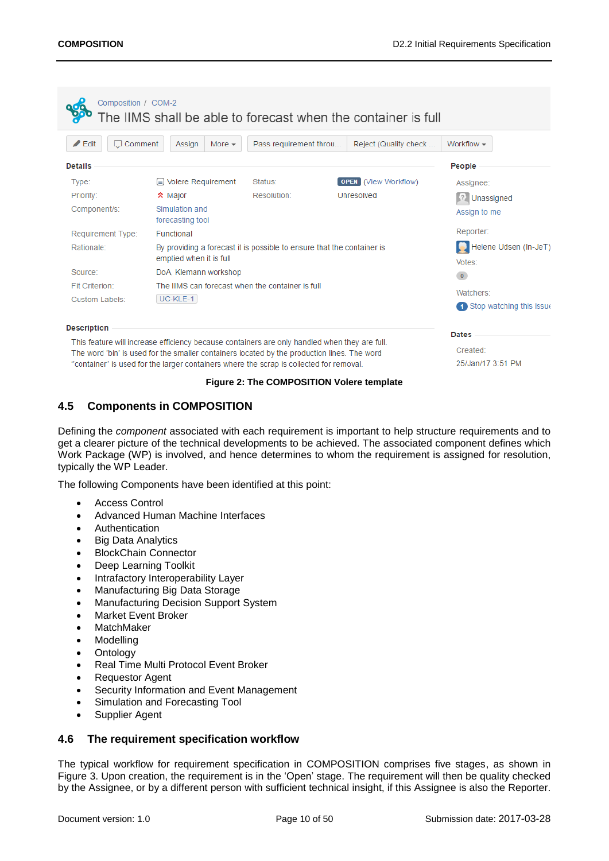| Composition / COM-2                                                                     |                                                                                                   |                        | The IIMS shall be able to forecast when the container is full |                                       |
|-----------------------------------------------------------------------------------------|---------------------------------------------------------------------------------------------------|------------------------|---------------------------------------------------------------|---------------------------------------|
| $\angle$ Edit<br>Comment<br>U                                                           | Assign<br>More $\sim$                                                                             | Pass requirement throu | Reject (Quality check                                         | Workflow $\sim$                       |
| <b>Details</b>                                                                          |                                                                                                   |                        |                                                               | People                                |
| Type:                                                                                   | $\equiv$ Volere Requirement                                                                       | Status:                | <b>OPEN</b> (View Workflow)                                   | Assignee:                             |
| Priority:                                                                               | <b>☆</b> Major                                                                                    | Resolution:            | Unresolved                                                    | $\left\{ \right.$<br>Unassigned       |
| Component/s:                                                                            | Simulation and<br>forecasting tool                                                                |                        |                                                               | Assign to me                          |
| Requirement Type:                                                                       | Functional                                                                                        |                        |                                                               | Reporter:                             |
| Rationale:                                                                              | By providing a forecast it is possible to ensure that the container is<br>emptied when it is full |                        |                                                               | Helene Udsen (In-JeT)<br>Votes:       |
| Source:                                                                                 | DoA, Klemann workshop                                                                             |                        |                                                               | $\overline{0}$                        |
| Fit Criterion:                                                                          | The IIMS can forecast when the container is full                                                  |                        |                                                               |                                       |
| <b>Custom Labels:</b>                                                                   | UC-KLE-1                                                                                          |                        |                                                               | Watchers:<br>Stop watching this issue |
| <b>Description</b>                                                                      |                                                                                                   |                        |                                                               | <b>Dates</b>                          |
|                                                                                         | This feature will increase efficiency because containers are only handled when they are full.     |                        |                                                               |                                       |
|                                                                                         | The word 'bin' is used for the smaller containers located by the production lines. The word       |                        |                                                               | Created:                              |
| "container' is used for the larger containers where the scrap is collected for removal. |                                                                                                   |                        | 25/Jan/17 3:51 PM                                             |                                       |

#### **Figure 2: The COMPOSITION Volere template**

## <span id="page-9-2"></span><span id="page-9-0"></span>**4.5 Components in COMPOSITION**

Defining the *component* associated with each requirement is important to help structure requirements and to get a clearer picture of the technical developments to be achieved. The associated component defines which Work Package (WP) is involved, and hence determines to whom the requirement is assigned for resolution, typically the WP Leader.

The following Components have been identified at this point:

- Access Control
- Advanced Human Machine Interfaces
- Authentication
- Big Data Analytics
- BlockChain Connector
- Deep Learning Toolkit
- Intrafactory Interoperability Layer
- Manufacturing Big Data Storage
- Manufacturing Decision Support System
- **•** Market Fyent Broker
- MatchMaker
- Modelling
- Ontology
- Real Time Multi Protocol Event Broker
- Requestor Agent
- Security Information and Event Management
- Simulation and Forecasting Tool
- Supplier Agent

## <span id="page-9-1"></span>**4.6 The requirement specification workflow**

The typical workflow for requirement specification in COMPOSITION comprises five stages, as shown in [Figure 3.](#page-10-1) Upon creation, the requirement is in the 'Open' stage. The requirement will then be quality checked by the Assignee, or by a different person with sufficient technical insight, if this Assignee is also the Reporter.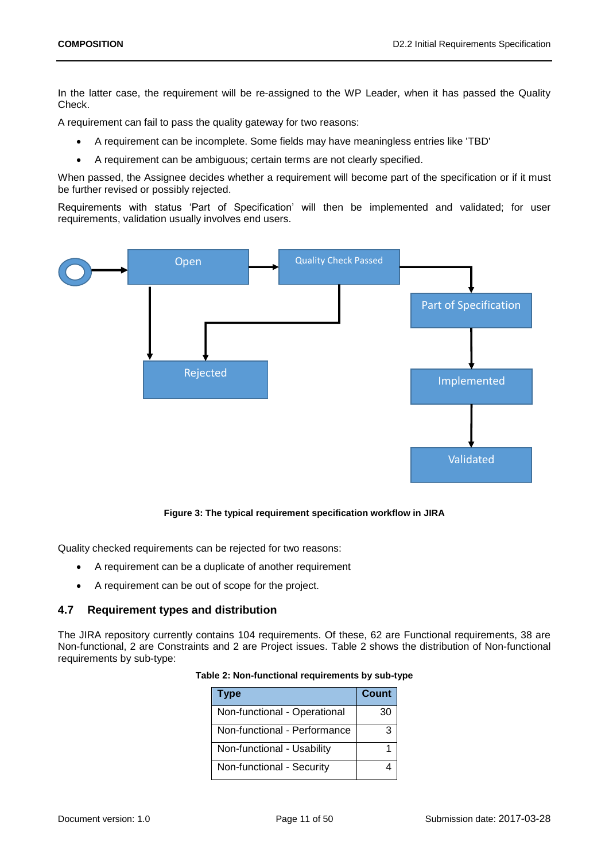In the latter case, the requirement will be re-assigned to the WP Leader, when it has passed the Quality Check.

A requirement can fail to pass the quality gateway for two reasons:

- A requirement can be incomplete. Some fields may have meaningless entries like 'TBD'
- A requirement can be ambiguous; certain terms are not clearly specified.

When passed, the Assignee decides whether a requirement will become part of the specification or if it must be further revised or possibly rejected.

Requirements with status 'Part of Specification' will then be implemented and validated; for user requirements, validation usually involves end users.



**Figure 3: The typical requirement specification workflow in JIRA**

<span id="page-10-1"></span>Quality checked requirements can be rejected for two reasons:

- A requirement can be a duplicate of another requirement
- A requirement can be out of scope for the project.

### <span id="page-10-0"></span>**4.7 Requirement types and distribution**

<span id="page-10-2"></span>The JIRA repository currently contains 104 requirements. Of these, 62 are Functional requirements, 38 are Non-functional, 2 are Constraints and 2 are Project issues. [Table 2](#page-10-2) shows the distribution of Non-functional requirements by sub-type:

| Type                         | Count |
|------------------------------|-------|
| Non-functional - Operational | 30    |
| Non-functional - Performance | 3     |
| Non-functional - Usability   |       |
| Non-functional - Security    |       |

| Table 2: Non-functional requirements by sub-type |  |
|--------------------------------------------------|--|
|                                                  |  |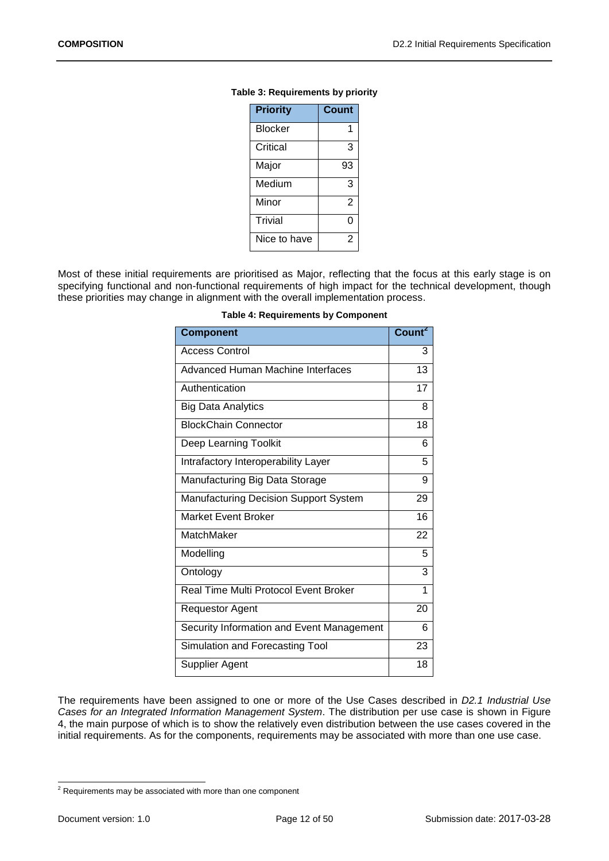| <b>Priority</b> | Count |
|-----------------|-------|
| Blocker         | 1     |
| Critical        | 3     |
| Major           | 93    |
| Medium          | 3     |
| Minor           | 2     |
| <b>Trivial</b>  | ი     |
| Nice to have    | 2     |

#### <span id="page-11-1"></span>**Table 3: Requirements by priority**

<span id="page-11-0"></span>Most of these initial requirements are prioritised as Major, reflecting that the focus at this early stage is on specifying functional and non-functional requirements of high impact for the technical development, though these priorities may change in alignment with the overall implementation process.

| <b>Component</b>                             | Count <sup>2</sup> |
|----------------------------------------------|--------------------|
| <b>Access Control</b>                        | 3                  |
| Advanced Human Machine Interfaces            | 13                 |
| Authentication                               | 17                 |
| Big Data Analytics                           | 8                  |
| <b>BlockChain Connector</b>                  | 18                 |
| Deep Learning Toolkit                        | 6                  |
| Intrafactory Interoperability Layer          | 5                  |
| Manufacturing Big Data Storage               | 9                  |
| <b>Manufacturing Decision Support System</b> | 29                 |
| <b>Market Event Broker</b>                   | 16                 |
| MatchMaker                                   | 22                 |
| Modelling                                    | 5                  |
| Ontology                                     | 3                  |
| Real Time Multi Protocol Event Broker        | 1                  |
| <b>Requestor Agent</b>                       | 20                 |
| Security Information and Event Management    | 6                  |
| Simulation and Forecasting Tool              | 23                 |
| Supplier Agent                               | 18                 |

|  |  | <b>Table 4: Requirements by Component</b> |
|--|--|-------------------------------------------|
|--|--|-------------------------------------------|

The requirements have been assigned to one or more of the Use Cases described in *D2.1 Industrial Use Cases for an Integrated Information Management System*. The distribution per use case is shown in [Figure](#page-12-1)  [4,](#page-12-1) the main purpose of which is to show the relatively even distribution between the use cases covered in the initial requirements. As for the components, requirements may be associated with more than one use case.

<sup>1</sup>  $2$  Requirements may be associated with more than one component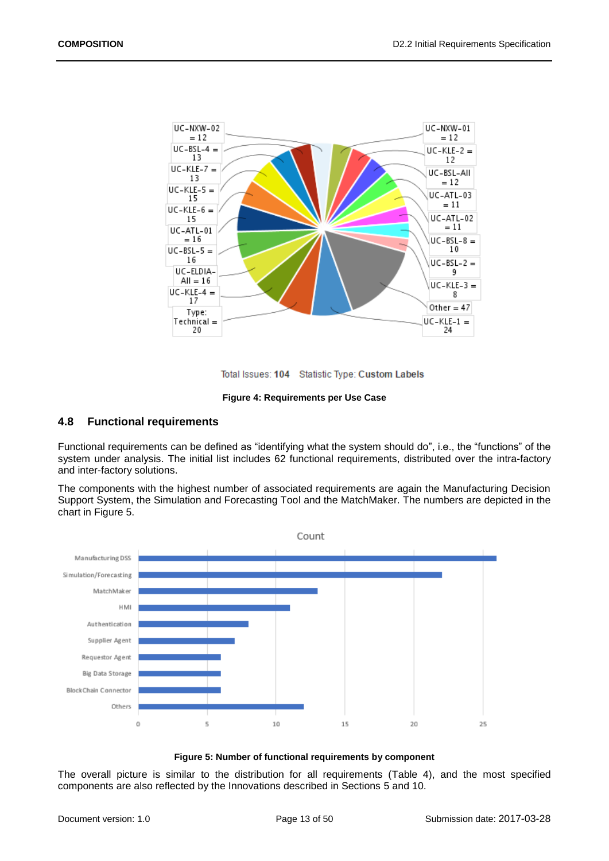

Total Issues: 104 Statistic Type: Custom Labels

#### **Figure 4: Requirements per Use Case**

### <span id="page-12-1"></span><span id="page-12-0"></span>**4.8 Functional requirements**

Functional requirements can be defined as "identifying what the system should do", i.e., the "functions" of the system under analysis. The initial list includes 62 functional requirements, distributed over the intra-factory and inter-factory solutions.

The components with the highest number of associated requirements are again the Manufacturing Decision Support System, the Simulation and Forecasting Tool and the MatchMaker. The numbers are depicted in the chart in [Figure 5.](#page-12-2)



#### **Figure 5: Number of functional requirements by component**

<span id="page-12-2"></span>The overall picture is similar to the distribution for all requirements [\(Table 4\)](#page-11-0), and the most specified components are also reflected by the Innovations described in Sections [5](#page-14-0) and [10.](#page-43-0)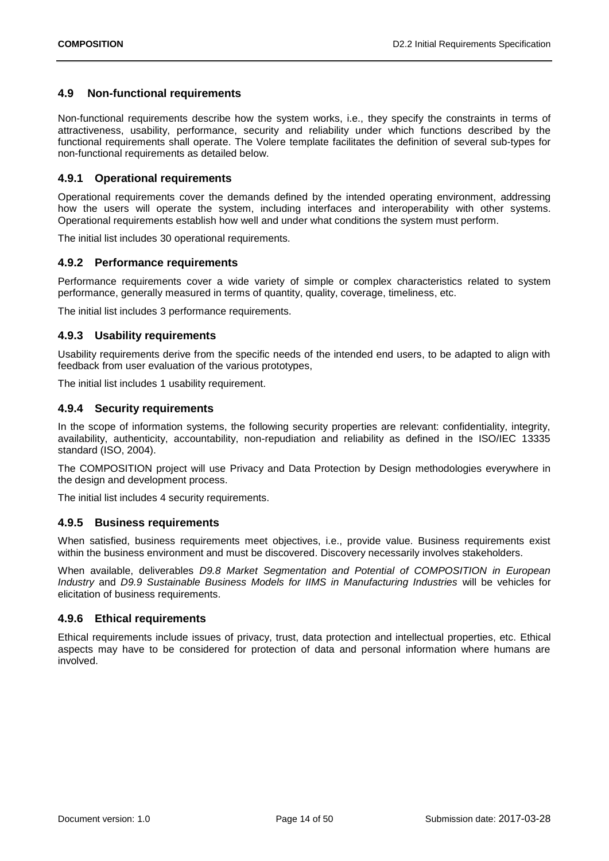## <span id="page-13-0"></span>**4.9 Non-functional requirements**

Non-functional requirements describe how the system works, i.e., they specify the constraints in terms of attractiveness, usability, performance, security and reliability under which functions described by the functional requirements shall operate. The Volere template facilitates the definition of several sub-types for non-functional requirements as detailed below.

## <span id="page-13-1"></span>**4.9.1 Operational requirements**

Operational requirements cover the demands defined by the intended operating environment, addressing how the users will operate the system, including interfaces and interoperability with other systems. Operational requirements establish how well and under what conditions the system must perform.

The initial list includes 30 operational requirements.

## <span id="page-13-2"></span>**4.9.2 Performance requirements**

Performance requirements cover a wide variety of simple or complex characteristics related to system performance, generally measured in terms of quantity, quality, coverage, timeliness, etc.

The initial list includes 3 performance requirements.

## <span id="page-13-3"></span>**4.9.3 Usability requirements**

Usability requirements derive from the specific needs of the intended end users, to be adapted to align with feedback from user evaluation of the various prototypes,

The initial list includes 1 usability requirement.

## <span id="page-13-4"></span>**4.9.4 Security requirements**

In the scope of information systems, the following security properties are relevant: confidentiality, integrity, availability, authenticity, accountability, non-repudiation and reliability as defined in the ISO/IEC 13335 standard (ISO, 2004).

The COMPOSITION project will use Privacy and Data Protection by Design methodologies everywhere in the design and development process.

The initial list includes 4 security requirements.

## <span id="page-13-5"></span>**4.9.5 Business requirements**

When satisfied, business requirements meet objectives, i.e., provide value. Business requirements exist within the business environment and must be discovered. Discovery necessarily involves stakeholders.

When available, deliverables *D9.8 Market Segmentation and Potential of COMPOSITION in European Industry* and *D9.9 Sustainable Business Models for IIMS in Manufacturing Industries* will be vehicles for elicitation of business requirements.

## <span id="page-13-6"></span>**4.9.6 Ethical requirements**

Ethical requirements include issues of privacy, trust, data protection and intellectual properties, etc. Ethical aspects may have to be considered for protection of data and personal information where humans are involved.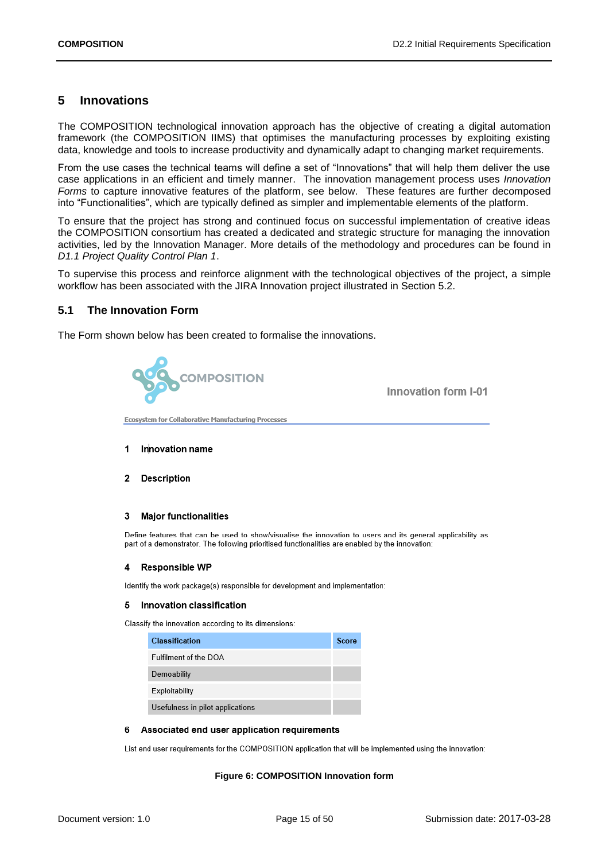## <span id="page-14-0"></span>**5 Innovations**

The COMPOSITION technological innovation approach has the objective of creating a digital automation framework (the COMPOSITION IIMS) that optimises the manufacturing processes by exploiting existing data, knowledge and tools to increase productivity and dynamically adapt to changing market requirements.

From the use cases the technical teams will define a set of "Innovations" that will help them deliver the use case applications in an efficient and timely manner. The innovation management process uses *Innovation Forms* to capture innovative features of the platform, see below. These features are further decomposed into "Functionalities", which are typically defined as simpler and implementable elements of the platform.

To ensure that the project has strong and continued focus on successful implementation of creative ideas the COMPOSITION consortium has created a dedicated and strategic structure for managing the innovation activities, led by the Innovation Manager. More details of the methodology and procedures can be found in *D1.1 Project Quality Control Plan 1*.

To supervise this process and reinforce alignment with the technological objectives of the project, a simple workflow has been associated with the JIRA Innovation project illustrated in Section [5.2.](#page-15-0)

## <span id="page-14-1"></span>**5.1 The Innovation Form**

The Form shown below has been created to formalise the innovations.



Innovation form I-01

**Ecosystem for Collaborative Manufacturing Processes** 

- Innovation name 1
- 2 Description

#### 3 Major functionalities

Define features that can be used to show/visualise the innovation to users and its general applicability as part of a demonstrator. The following prioritised functionalities are enabled by the innovation:

#### 4 Responsible WP

Identify the work package(s) responsible for development and implementation:

#### 5 Innovation classification

Classify the innovation according to its dimensions:

| <b>Classification</b>            | Score |
|----------------------------------|-------|
| Fulfilment of the DOA            |       |
| Demoability                      |       |
| Exploitability                   |       |
| Usefulness in pilot applications |       |

#### 6 Associated end user application requirements

<span id="page-14-2"></span>List end user requirements for the COMPOSITION application that will be implemented using the innovation:

#### **Figure 6: COMPOSITION Innovation form**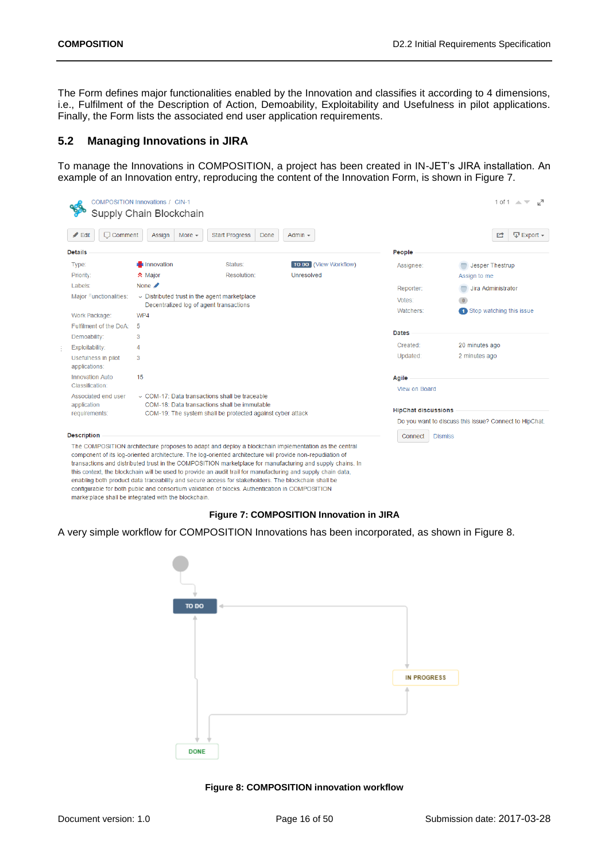The Form defines major functionalities enabled by the Innovation and classifies it according to 4 dimensions, i.e., Fulfilment of the Description of Action, Demoability, Exploitability and Usefulness in pilot applications. Finally, the Form lists the associated end user application requirements.

## <span id="page-15-0"></span>**5.2 Managing Innovations in JIRA**

To manage the Innovations in COMPOSITION, a project has been created in IN-JET's JIRA installation. An example of an Innovation entry, reproducing the content of the Innovation Form, is shown in [Figure 7.](#page-15-1)

| $\angle$ Edit<br>$\Box$ Comment         | More $-$<br>Assign         | <b>Start Progress</b><br>Done                                                                                                                                                                                    | Admin $\sim$                                                                                                                                                                                                                                                                                                                      |                            | $\nabla$ Export $\nabla$<br>学                          |
|-----------------------------------------|----------------------------|------------------------------------------------------------------------------------------------------------------------------------------------------------------------------------------------------------------|-----------------------------------------------------------------------------------------------------------------------------------------------------------------------------------------------------------------------------------------------------------------------------------------------------------------------------------|----------------------------|--------------------------------------------------------|
| <b>Details</b>                          |                            |                                                                                                                                                                                                                  |                                                                                                                                                                                                                                                                                                                                   | People                     |                                                        |
| Type:                                   | <b>非</b> Innovation        | Status:                                                                                                                                                                                                          | TO DO (View Workflow)                                                                                                                                                                                                                                                                                                             | Assignee:                  | Jesper Thestrup                                        |
| Priority:                               | <b>☆</b> Major             | Resolution:                                                                                                                                                                                                      | Unresolved                                                                                                                                                                                                                                                                                                                        |                            | Assign to me                                           |
| Labels:                                 | None $\blacktriangleright$ |                                                                                                                                                                                                                  |                                                                                                                                                                                                                                                                                                                                   | Reporter:                  | Jira Administrator                                     |
| <b>Major Functionalities:</b>           |                            | $\sim$ Distributed trust in the agent marketplace                                                                                                                                                                |                                                                                                                                                                                                                                                                                                                                   | Votes:                     | $\overline{0}$                                         |
|                                         | WP4                        | Decentralized log of agent transactions                                                                                                                                                                          |                                                                                                                                                                                                                                                                                                                                   | Watchers:                  | 1 Stop watching this issue                             |
| Work Package:<br>Fulfilment of the DoA: | 5                          |                                                                                                                                                                                                                  |                                                                                                                                                                                                                                                                                                                                   |                            |                                                        |
| Demoability:                            | 3                          |                                                                                                                                                                                                                  |                                                                                                                                                                                                                                                                                                                                   | <b>Dates</b>               |                                                        |
| Exploitability:                         | 4                          |                                                                                                                                                                                                                  |                                                                                                                                                                                                                                                                                                                                   | Created:                   | 20 minutes ago                                         |
| Usefulness in pilot<br>applications:    | 3                          |                                                                                                                                                                                                                  |                                                                                                                                                                                                                                                                                                                                   | Updated:                   | 2 minutes ago                                          |
| <b>Innovation Auto</b>                  | 15                         |                                                                                                                                                                                                                  |                                                                                                                                                                                                                                                                                                                                   | Agile                      |                                                        |
| Classification:                         |                            |                                                                                                                                                                                                                  |                                                                                                                                                                                                                                                                                                                                   | View on Board              |                                                        |
| Associated end user                     |                            | $\vee$ COM-17: Data transactions shall be traceable.                                                                                                                                                             |                                                                                                                                                                                                                                                                                                                                   |                            |                                                        |
| application<br>requirements:            |                            | COM-18: Data transactions shall be immutable<br>COM-19: The system shall be protected against cyber attack                                                                                                       |                                                                                                                                                                                                                                                                                                                                   | <b>HipChat discussions</b> |                                                        |
|                                         |                            |                                                                                                                                                                                                                  |                                                                                                                                                                                                                                                                                                                                   |                            | Do you want to discuss this issue? Connect to HipChat. |
| <b>Description</b>                      |                            |                                                                                                                                                                                                                  |                                                                                                                                                                                                                                                                                                                                   | Connect                    | <b>Dismiss</b>                                         |
|                                         |                            | component of its log-oriented architecture. The log-oriented architecture will provide non-repudiation of<br>enabling both product data traceability and secure access for stakeholders. The blockchain shall be | The COMPOSITION architecture proposes to adapt and deploy a blockchain implementation as the central<br>transactions and distributed trust in the COMPOSITION marketplace for manufacturing and supply chains. In<br>this context, the blockchain will be used to provide an audit trail for manufacturing and supply chain data, |                            |                                                        |

**Figure 7: COMPOSITION Innovation in JIRA**

<span id="page-15-1"></span>A very simple workflow for COMPOSITION Innovations has been incorporated, as shown in [Figure 8.](#page-15-2)



<span id="page-15-2"></span>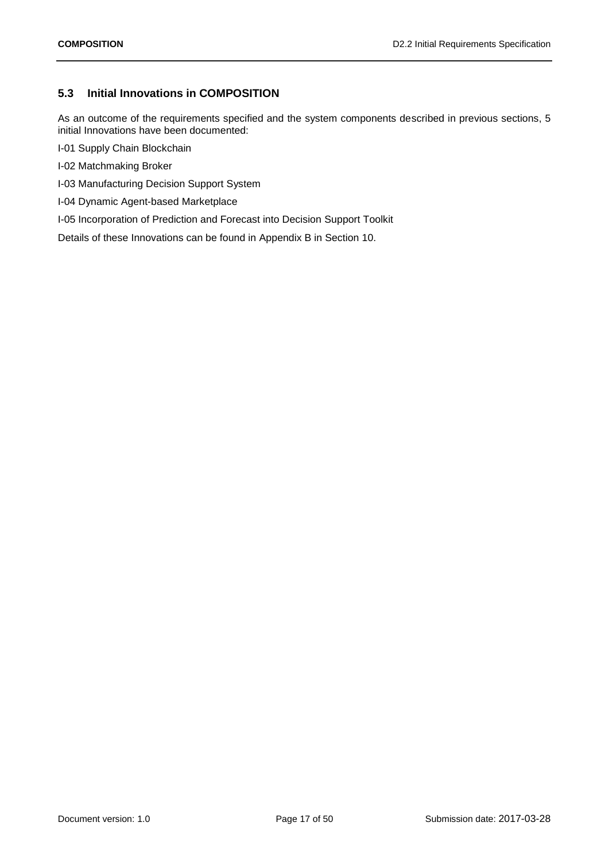## <span id="page-16-0"></span>**5.3 Initial Innovations in COMPOSITION**

As an outcome of the requirements specified and the system components described in previous sections, 5 initial Innovations have been documented:

- I-01 Supply Chain Blockchain
- I-02 Matchmaking Broker
- I-03 Manufacturing Decision Support System
- I-04 Dynamic Agent-based Marketplace
- I-05 Incorporation of Prediction and Forecast into Decision Support Toolkit

Details of these Innovations can be found in Appendix B in Section [10.](#page-43-0)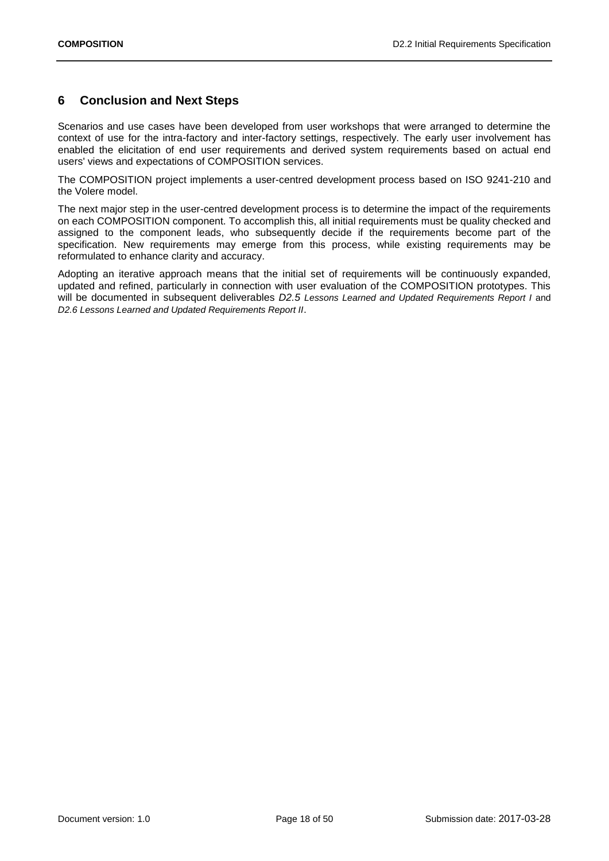## <span id="page-17-0"></span>**6 Conclusion and Next Steps**

Scenarios and use cases have been developed from user workshops that were arranged to determine the context of use for the intra-factory and inter-factory settings, respectively. The early user involvement has enabled the elicitation of end user requirements and derived system requirements based on actual end users' views and expectations of COMPOSITION services.

The COMPOSITION project implements a user-centred development process based on ISO 9241-210 and the Volere model.

The next major step in the user-centred development process is to determine the impact of the requirements on each COMPOSITION component. To accomplish this, all initial requirements must be quality checked and assigned to the component leads, who subsequently decide if the requirements become part of the specification. New requirements may emerge from this process, while existing requirements may be reformulated to enhance clarity and accuracy.

Adopting an iterative approach means that the initial set of requirements will be continuously expanded, updated and refined, particularly in connection with user evaluation of the COMPOSITION prototypes. This will be documented in subsequent deliverables *D2.5 Lessons Learned and Updated Requirements Report I* and *D2.6 Lessons Learned and Updated Requirements Report II*.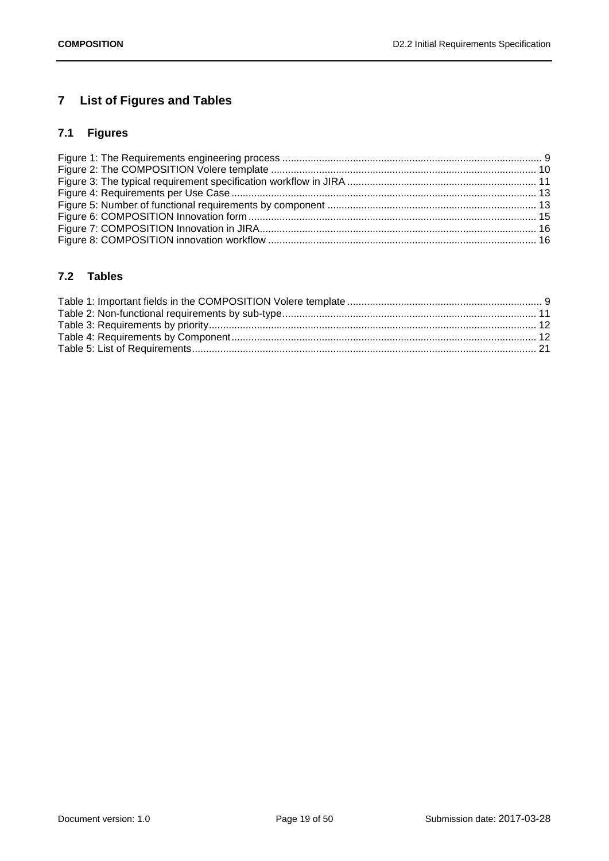# <span id="page-18-0"></span>**7 List of Figures and Tables**

# <span id="page-18-1"></span>**7.1 Figures**

## <span id="page-18-2"></span>**7.2 Tables**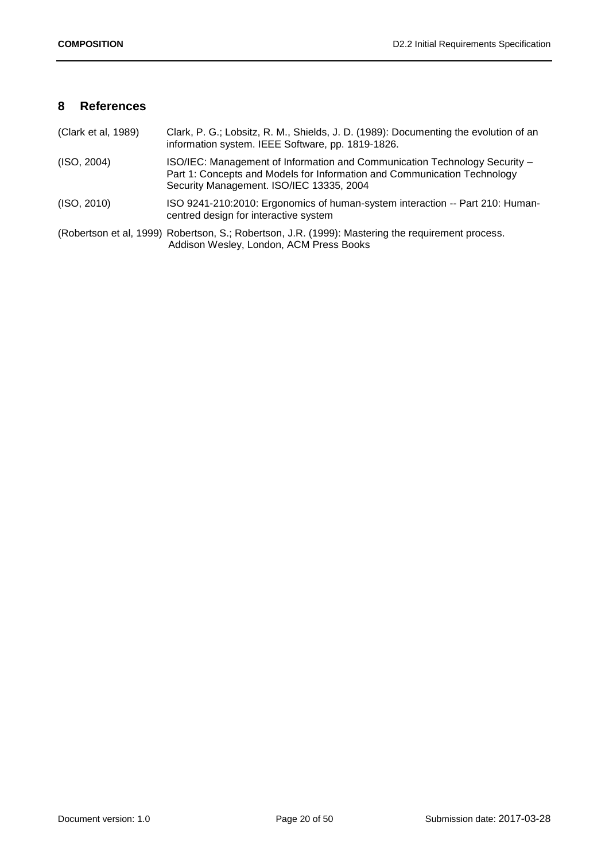## <span id="page-19-0"></span>**8 References**

| (Clark et al, 1989) | Clark, P. G.; Lobsitz, R. M., Shields, J. D. (1989): Documenting the evolution of an<br>information system. IEEE Software, pp. 1819-1826.                                                          |
|---------------------|----------------------------------------------------------------------------------------------------------------------------------------------------------------------------------------------------|
| (ISO, 2004)         | ISO/IEC: Management of Information and Communication Technology Security -<br>Part 1: Concepts and Models for Information and Communication Technology<br>Security Management. ISO/IEC 13335, 2004 |
| (ISO, 2010)         | ISO 9241-210:2010: Ergonomics of human-system interaction -- Part 210: Human-<br>centred design for interactive system                                                                             |
|                     | (Robertson et al, 1999) Robertson, S.; Robertson, J.R. (1999): Mastering the requirement process.<br>Addison Wesley, London, ACM Press Books                                                       |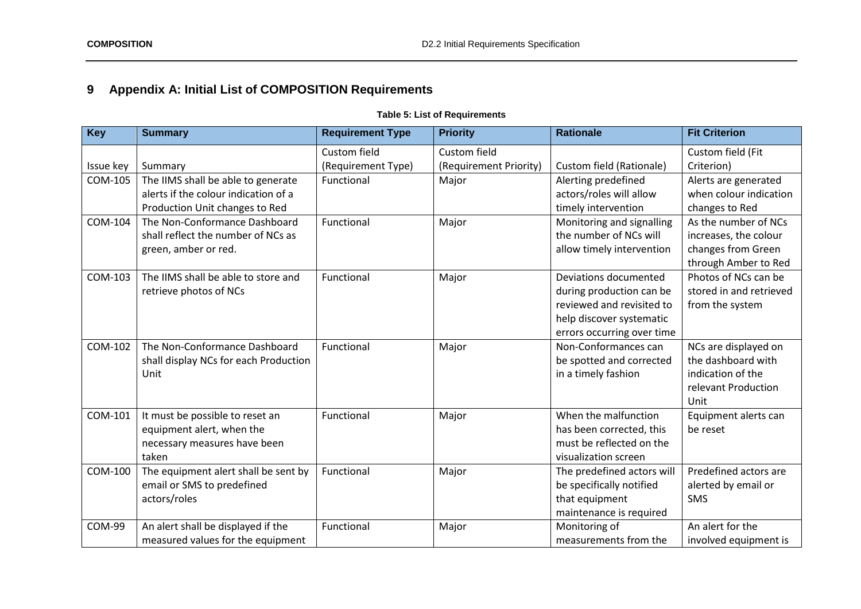# **9 Appendix A: Initial List of COMPOSITION Requirements**

## **Table 5: List of Requirements**

<span id="page-20-1"></span><span id="page-20-0"></span>

| <b>Key</b>    | <b>Summary</b>                        | <b>Requirement Type</b> | <b>Priority</b>        | <b>Rationale</b>           | <b>Fit Criterion</b>    |
|---------------|---------------------------------------|-------------------------|------------------------|----------------------------|-------------------------|
|               |                                       | Custom field            | Custom field           |                            | Custom field (Fit       |
| Issue key     | Summary                               | (Requirement Type)      | (Requirement Priority) | Custom field (Rationale)   | Criterion)              |
| COM-105       | The IIMS shall be able to generate    | Functional              | Major                  | Alerting predefined        | Alerts are generated    |
|               | alerts if the colour indication of a  |                         |                        | actors/roles will allow    | when colour indication  |
|               | Production Unit changes to Red        |                         |                        | timely intervention        | changes to Red          |
| COM-104       | The Non-Conformance Dashboard         | Functional              | Major                  | Monitoring and signalling  | As the number of NCs    |
|               | shall reflect the number of NCs as    |                         |                        | the number of NCs will     | increases, the colour   |
|               | green, amber or red.                  |                         |                        | allow timely intervention  | changes from Green      |
|               |                                       |                         |                        |                            | through Amber to Red    |
| COM-103       | The IIMS shall be able to store and   | Functional              | Major                  | Deviations documented      | Photos of NCs can be    |
|               | retrieve photos of NCs                |                         |                        | during production can be   | stored in and retrieved |
|               |                                       |                         |                        | reviewed and revisited to  | from the system         |
|               |                                       |                         |                        | help discover systematic   |                         |
|               |                                       |                         |                        | errors occurring over time |                         |
| COM-102       | The Non-Conformance Dashboard         | Functional              | Major                  | Non-Conformances can       | NCs are displayed on    |
|               | shall display NCs for each Production |                         |                        | be spotted and corrected   | the dashboard with      |
|               | Unit                                  |                         |                        | in a timely fashion        | indication of the       |
|               |                                       |                         |                        |                            | relevant Production     |
|               |                                       |                         |                        |                            | Unit                    |
| COM-101       | It must be possible to reset an       | Functional              | Major                  | When the malfunction       | Equipment alerts can    |
|               | equipment alert, when the             |                         |                        | has been corrected, this   | be reset                |
|               | necessary measures have been          |                         |                        | must be reflected on the   |                         |
|               | taken                                 |                         |                        | visualization screen       |                         |
| COM-100       | The equipment alert shall be sent by  | Functional              | Major                  | The predefined actors will | Predefined actors are   |
|               | email or SMS to predefined            |                         |                        | be specifically notified   | alerted by email or     |
|               | actors/roles                          |                         |                        | that equipment             | <b>SMS</b>              |
|               |                                       |                         |                        | maintenance is required    |                         |
| <b>COM-99</b> | An alert shall be displayed if the    | Functional              | Major                  | Monitoring of              | An alert for the        |
|               | measured values for the equipment     |                         |                        | measurements from the      | involved equipment is   |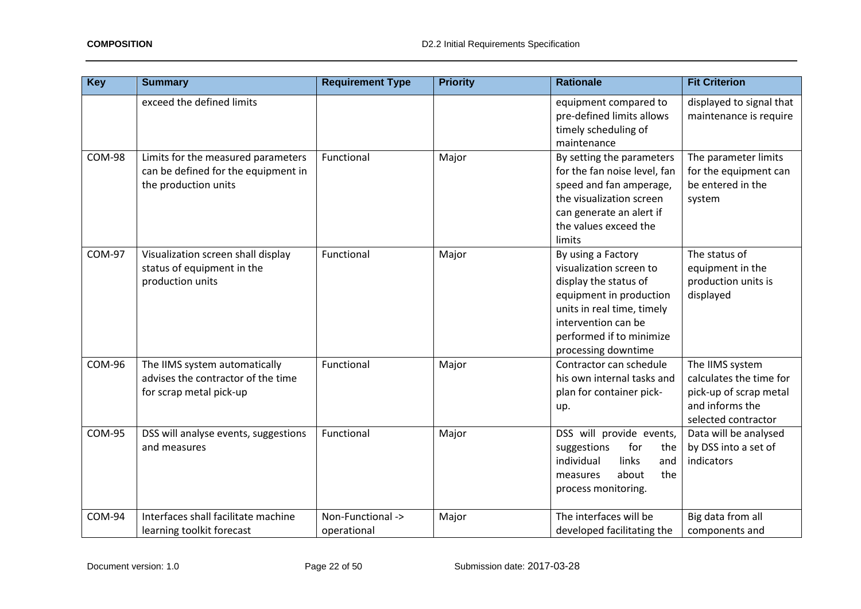| <b>Key</b>    | <b>Summary</b>                                                                                    | <b>Requirement Type</b>          | <b>Priority</b> | <b>Rationale</b>                                                                                                                                                                                          | <b>Fit Criterion</b>                                                                                           |
|---------------|---------------------------------------------------------------------------------------------------|----------------------------------|-----------------|-----------------------------------------------------------------------------------------------------------------------------------------------------------------------------------------------------------|----------------------------------------------------------------------------------------------------------------|
|               | exceed the defined limits                                                                         |                                  |                 | equipment compared to<br>pre-defined limits allows<br>timely scheduling of<br>maintenance                                                                                                                 | displayed to signal that<br>maintenance is require                                                             |
| <b>COM-98</b> | Limits for the measured parameters<br>can be defined for the equipment in<br>the production units | Functional                       | Major           | By setting the parameters<br>for the fan noise level, fan<br>speed and fan amperage,<br>the visualization screen<br>can generate an alert if<br>the values exceed the<br>limits                           | The parameter limits<br>for the equipment can<br>be entered in the<br>system                                   |
| <b>COM-97</b> | Visualization screen shall display<br>status of equipment in the<br>production units              | Functional                       | Major           | By using a Factory<br>visualization screen to<br>display the status of<br>equipment in production<br>units in real time, timely<br>intervention can be<br>performed if to minimize<br>processing downtime | The status of<br>equipment in the<br>production units is<br>displayed                                          |
| <b>COM-96</b> | The IIMS system automatically<br>advises the contractor of the time<br>for scrap metal pick-up    | Functional                       | Major           | Contractor can schedule<br>his own internal tasks and<br>plan for container pick-<br>up.                                                                                                                  | The IIMS system<br>calculates the time for<br>pick-up of scrap metal<br>and informs the<br>selected contractor |
| <b>COM-95</b> | DSS will analyse events, suggestions<br>and measures                                              | Functional                       | Major           | DSS will provide events,<br>suggestions<br>for<br>the<br>individual<br>links<br>and<br>the<br>about<br>measures<br>process monitoring.                                                                    | Data will be analysed<br>by DSS into a set of<br>indicators                                                    |
| COM-94        | Interfaces shall facilitate machine<br>learning toolkit forecast                                  | Non-Functional -><br>operational | Major           | The interfaces will be<br>developed facilitating the                                                                                                                                                      | Big data from all<br>components and                                                                            |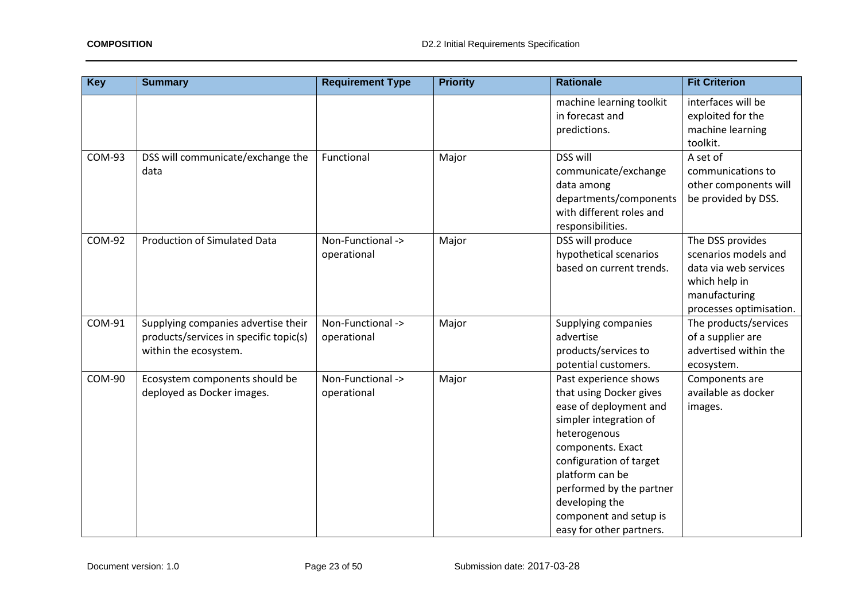| <b>Key</b>    | <b>Summary</b>                                                                                         | <b>Requirement Type</b>          | <b>Priority</b> | <b>Rationale</b>                                                                                                                                                                                                                                                                            | <b>Fit Criterion</b>                                                                                                           |
|---------------|--------------------------------------------------------------------------------------------------------|----------------------------------|-----------------|---------------------------------------------------------------------------------------------------------------------------------------------------------------------------------------------------------------------------------------------------------------------------------------------|--------------------------------------------------------------------------------------------------------------------------------|
|               |                                                                                                        |                                  |                 | machine learning toolkit<br>in forecast and<br>predictions.                                                                                                                                                                                                                                 | interfaces will be<br>exploited for the<br>machine learning<br>toolkit.                                                        |
| <b>COM-93</b> | DSS will communicate/exchange the<br>data                                                              | Functional                       | Major           | <b>DSS will</b><br>communicate/exchange<br>data among<br>departments/components<br>with different roles and<br>responsibilities.                                                                                                                                                            | A set of<br>communications to<br>other components will<br>be provided by DSS.                                                  |
| <b>COM-92</b> | <b>Production of Simulated Data</b>                                                                    | Non-Functional -><br>operational | Major           | DSS will produce<br>hypothetical scenarios<br>based on current trends.                                                                                                                                                                                                                      | The DSS provides<br>scenarios models and<br>data via web services<br>which help in<br>manufacturing<br>processes optimisation. |
| COM-91        | Supplying companies advertise their<br>products/services in specific topic(s)<br>within the ecosystem. | Non-Functional -><br>operational | Major           | Supplying companies<br>advertise<br>products/services to<br>potential customers.                                                                                                                                                                                                            | The products/services<br>of a supplier are<br>advertised within the<br>ecosystem.                                              |
| <b>COM-90</b> | Ecosystem components should be<br>deployed as Docker images.                                           | Non-Functional -><br>operational | Major           | Past experience shows<br>that using Docker gives<br>ease of deployment and<br>simpler integration of<br>heterogenous<br>components. Exact<br>configuration of target<br>platform can be<br>performed by the partner<br>developing the<br>component and setup is<br>easy for other partners. | Components are<br>available as docker<br>images.                                                                               |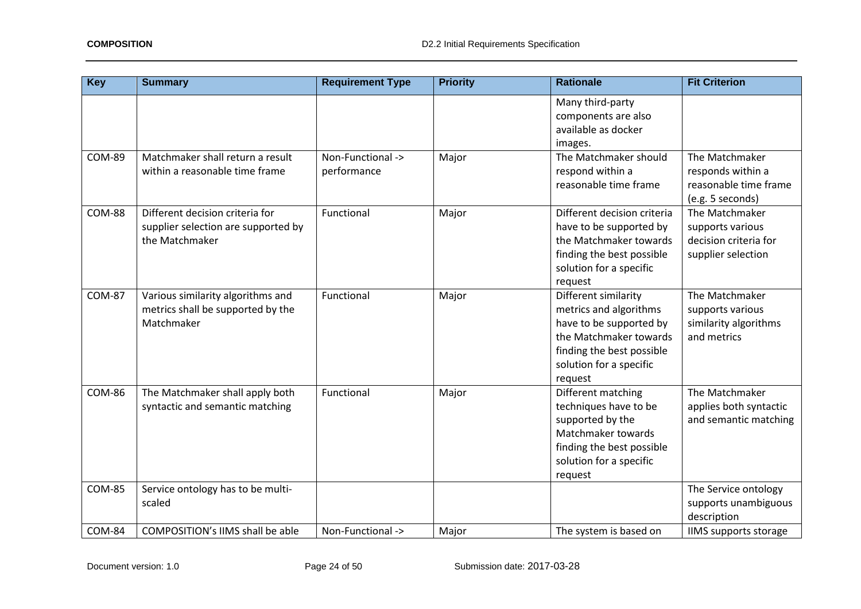| <b>Key</b>    | <b>Summary</b>                                                                           | <b>Requirement Type</b>          | <b>Priority</b> | <b>Rationale</b>                                                                                                                                                       | <b>Fit Criterion</b>                                                              |
|---------------|------------------------------------------------------------------------------------------|----------------------------------|-----------------|------------------------------------------------------------------------------------------------------------------------------------------------------------------------|-----------------------------------------------------------------------------------|
|               |                                                                                          |                                  |                 | Many third-party<br>components are also<br>available as docker<br>images.                                                                                              |                                                                                   |
| <b>COM-89</b> | Matchmaker shall return a result<br>within a reasonable time frame                       | Non-Functional -><br>performance | Major           | The Matchmaker should<br>respond within a<br>reasonable time frame                                                                                                     | The Matchmaker<br>responds within a<br>reasonable time frame<br>(e.g. 5 seconds)  |
| <b>COM-88</b> | Different decision criteria for<br>supplier selection are supported by<br>the Matchmaker | Functional                       | Major           | Different decision criteria<br>have to be supported by<br>the Matchmaker towards<br>finding the best possible<br>solution for a specific<br>request                    | The Matchmaker<br>supports various<br>decision criteria for<br>supplier selection |
| <b>COM-87</b> | Various similarity algorithms and<br>metrics shall be supported by the<br>Matchmaker     | Functional                       | Major           | Different similarity<br>metrics and algorithms<br>have to be supported by<br>the Matchmaker towards<br>finding the best possible<br>solution for a specific<br>request | The Matchmaker<br>supports various<br>similarity algorithms<br>and metrics        |
| <b>COM-86</b> | The Matchmaker shall apply both<br>syntactic and semantic matching                       | Functional                       | Major           | Different matching<br>techniques have to be<br>supported by the<br>Matchmaker towards<br>finding the best possible<br>solution for a specific<br>request               | The Matchmaker<br>applies both syntactic<br>and semantic matching                 |
| <b>COM-85</b> | Service ontology has to be multi-<br>scaled                                              |                                  |                 |                                                                                                                                                                        | The Service ontology<br>supports unambiguous<br>description                       |
| <b>COM-84</b> | <b>COMPOSITION's IIMS shall be able</b>                                                  | Non-Functional ->                | Major           | The system is based on                                                                                                                                                 | <b>IIMS</b> supports storage                                                      |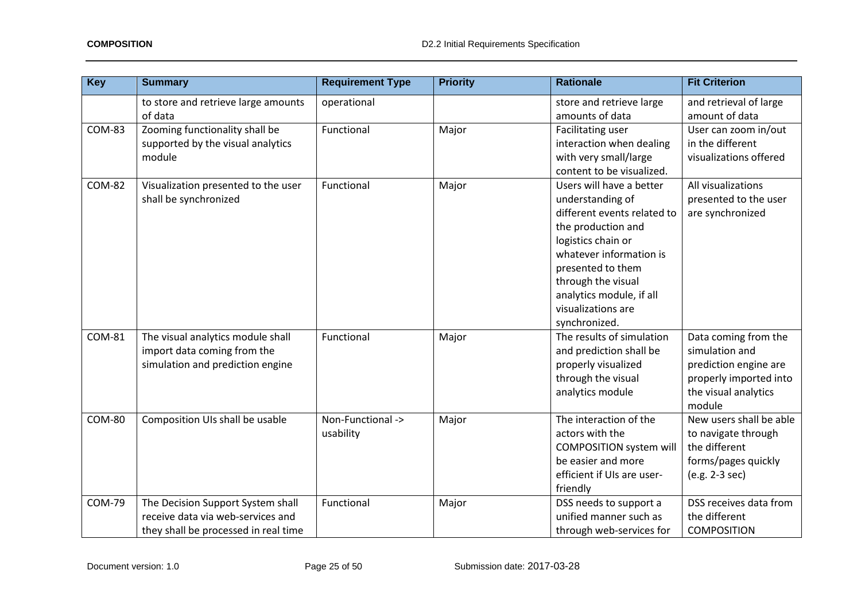| <b>Key</b>    | <b>Summary</b>                                                                                                 | <b>Requirement Type</b>        | <b>Priority</b> | <b>Rationale</b>                                                                                                                                                                                                                                                 | <b>Fit Criterion</b>                                                                                                        |
|---------------|----------------------------------------------------------------------------------------------------------------|--------------------------------|-----------------|------------------------------------------------------------------------------------------------------------------------------------------------------------------------------------------------------------------------------------------------------------------|-----------------------------------------------------------------------------------------------------------------------------|
|               | to store and retrieve large amounts<br>of data                                                                 | operational                    |                 | store and retrieve large<br>amounts of data                                                                                                                                                                                                                      | and retrieval of large<br>amount of data                                                                                    |
| <b>COM-83</b> | Zooming functionality shall be<br>supported by the visual analytics<br>module                                  | Functional                     | Major           | Facilitating user<br>interaction when dealing<br>with very small/large<br>content to be visualized.                                                                                                                                                              | User can zoom in/out<br>in the different<br>visualizations offered                                                          |
| <b>COM-82</b> | Visualization presented to the user<br>shall be synchronized                                                   | Functional                     | Major           | Users will have a better<br>understanding of<br>different events related to<br>the production and<br>logistics chain or<br>whatever information is<br>presented to them<br>through the visual<br>analytics module, if all<br>visualizations are<br>synchronized. | All visualizations<br>presented to the user<br>are synchronized                                                             |
| COM-81        | The visual analytics module shall<br>import data coming from the<br>simulation and prediction engine           | Functional                     | Major           | The results of simulation<br>and prediction shall be<br>properly visualized<br>through the visual<br>analytics module                                                                                                                                            | Data coming from the<br>simulation and<br>prediction engine are<br>properly imported into<br>the visual analytics<br>module |
| <b>COM-80</b> | Composition UIs shall be usable                                                                                | Non-Functional -><br>usability | Major           | The interaction of the<br>actors with the<br><b>COMPOSITION system will</b><br>be easier and more<br>efficient if UIs are user-<br>friendly                                                                                                                      | New users shall be able<br>to navigate through<br>the different<br>forms/pages quickly<br>(e.g. 2-3 sec)                    |
| <b>COM-79</b> | The Decision Support System shall<br>receive data via web-services and<br>they shall be processed in real time | Functional                     | Major           | DSS needs to support a<br>unified manner such as<br>through web-services for                                                                                                                                                                                     | DSS receives data from<br>the different<br><b>COMPOSITION</b>                                                               |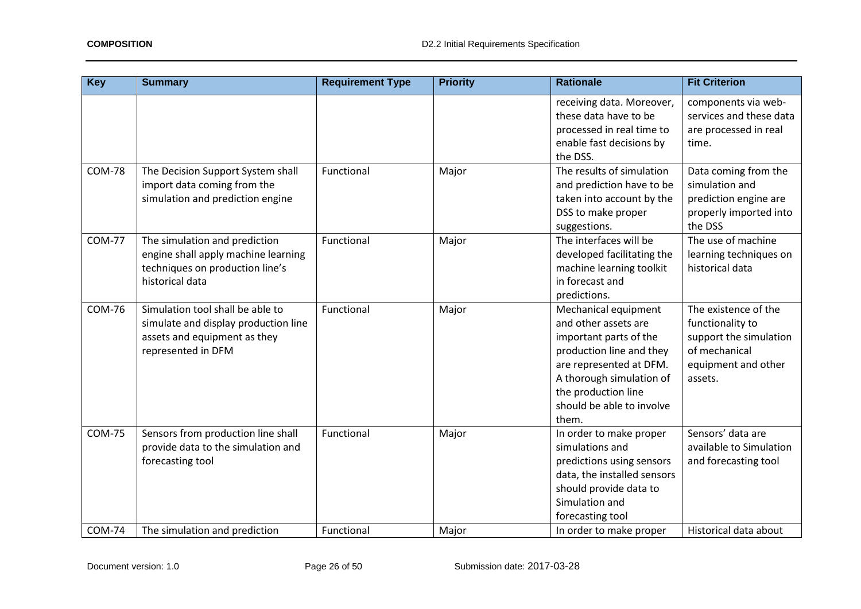| <b>Key</b>    | <b>Summary</b>                                                                                                                 | <b>Requirement Type</b> | <b>Priority</b> | <b>Rationale</b>                                                                                                                                                                                                       | <b>Fit Criterion</b>                                                                                                  |
|---------------|--------------------------------------------------------------------------------------------------------------------------------|-------------------------|-----------------|------------------------------------------------------------------------------------------------------------------------------------------------------------------------------------------------------------------------|-----------------------------------------------------------------------------------------------------------------------|
|               |                                                                                                                                |                         |                 | receiving data. Moreover,<br>these data have to be<br>processed in real time to<br>enable fast decisions by<br>the DSS.                                                                                                | components via web-<br>services and these data<br>are processed in real<br>time.                                      |
| <b>COM-78</b> | The Decision Support System shall<br>import data coming from the<br>simulation and prediction engine                           | Functional              | Major           | The results of simulation<br>and prediction have to be<br>taken into account by the<br>DSS to make proper<br>suggestions.                                                                                              | Data coming from the<br>simulation and<br>prediction engine are<br>properly imported into<br>the DSS                  |
| <b>COM-77</b> | The simulation and prediction<br>engine shall apply machine learning<br>techniques on production line's<br>historical data     | Functional              | Major           | The interfaces will be<br>developed facilitating the<br>machine learning toolkit<br>in forecast and<br>predictions.                                                                                                    | The use of machine<br>learning techniques on<br>historical data                                                       |
| <b>COM-76</b> | Simulation tool shall be able to<br>simulate and display production line<br>assets and equipment as they<br>represented in DFM | Functional              | Major           | Mechanical equipment<br>and other assets are<br>important parts of the<br>production line and they<br>are represented at DFM.<br>A thorough simulation of<br>the production line<br>should be able to involve<br>them. | The existence of the<br>functionality to<br>support the simulation<br>of mechanical<br>equipment and other<br>assets. |
| <b>COM-75</b> | Sensors from production line shall<br>provide data to the simulation and<br>forecasting tool                                   | Functional              | Major           | In order to make proper<br>simulations and<br>predictions using sensors<br>data, the installed sensors<br>should provide data to<br>Simulation and<br>forecasting tool                                                 | Sensors' data are<br>available to Simulation<br>and forecasting tool                                                  |
| <b>COM-74</b> | The simulation and prediction                                                                                                  | Functional              | Major           | In order to make proper                                                                                                                                                                                                | Historical data about                                                                                                 |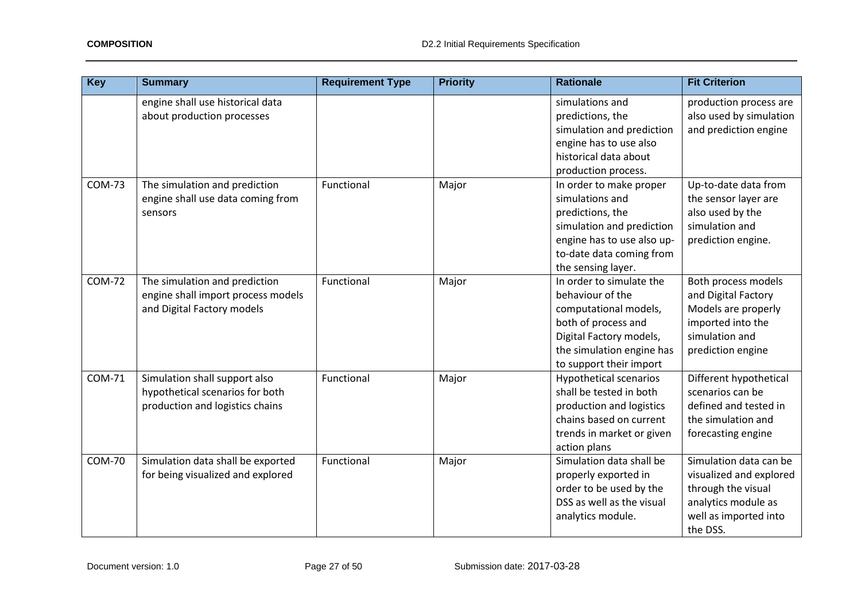| <b>Key</b>    | <b>Summary</b>                                                                                      | <b>Requirement Type</b> | <b>Priority</b> | <b>Rationale</b>                                                                                                                                                                | <b>Fit Criterion</b>                                                                                                                |
|---------------|-----------------------------------------------------------------------------------------------------|-------------------------|-----------------|---------------------------------------------------------------------------------------------------------------------------------------------------------------------------------|-------------------------------------------------------------------------------------------------------------------------------------|
|               | engine shall use historical data<br>about production processes                                      |                         |                 | simulations and<br>predictions, the<br>simulation and prediction<br>engine has to use also<br>historical data about<br>production process.                                      | production process are<br>also used by simulation<br>and prediction engine                                                          |
| <b>COM-73</b> | The simulation and prediction<br>engine shall use data coming from<br>sensors                       | Functional              | Major           | In order to make proper<br>simulations and<br>predictions, the<br>simulation and prediction<br>engine has to use also up-<br>to-date data coming from<br>the sensing layer.     | Up-to-date data from<br>the sensor layer are<br>also used by the<br>simulation and<br>prediction engine.                            |
| <b>COM-72</b> | The simulation and prediction<br>engine shall import process models<br>and Digital Factory models   | Functional              | Major           | In order to simulate the<br>behaviour of the<br>computational models,<br>both of process and<br>Digital Factory models,<br>the simulation engine has<br>to support their import | Both process models<br>and Digital Factory<br>Models are properly<br>imported into the<br>simulation and<br>prediction engine       |
| <b>COM-71</b> | Simulation shall support also<br>hypothetical scenarios for both<br>production and logistics chains | Functional              | Major           | <b>Hypothetical scenarios</b><br>shall be tested in both<br>production and logistics<br>chains based on current<br>trends in market or given<br>action plans                    | Different hypothetical<br>scenarios can be<br>defined and tested in<br>the simulation and<br>forecasting engine                     |
| <b>COM-70</b> | Simulation data shall be exported<br>for being visualized and explored                              | Functional              | Major           | Simulation data shall be<br>properly exported in<br>order to be used by the<br>DSS as well as the visual<br>analytics module.                                                   | Simulation data can be<br>visualized and explored<br>through the visual<br>analytics module as<br>well as imported into<br>the DSS. |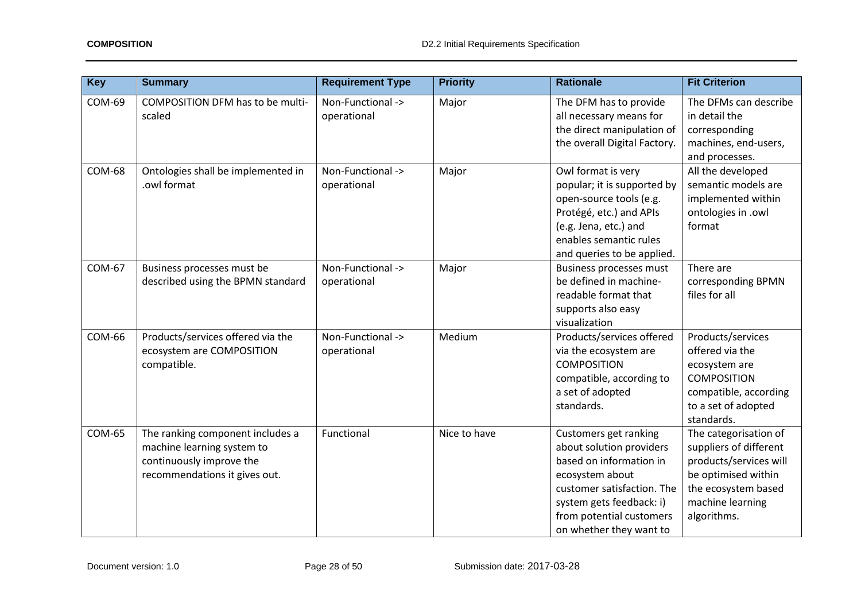| <b>Key</b>    | <b>Summary</b>                                                                                                              | <b>Requirement Type</b>          | <b>Priority</b> | <b>Rationale</b>                                                                                                                                                                                                 | <b>Fit Criterion</b>                                                                                                                                       |
|---------------|-----------------------------------------------------------------------------------------------------------------------------|----------------------------------|-----------------|------------------------------------------------------------------------------------------------------------------------------------------------------------------------------------------------------------------|------------------------------------------------------------------------------------------------------------------------------------------------------------|
| <b>COM-69</b> | COMPOSITION DFM has to be multi-<br>scaled                                                                                  | Non-Functional -><br>operational | Major           | The DFM has to provide<br>all necessary means for<br>the direct manipulation of<br>the overall Digital Factory.                                                                                                  | The DFMs can describe<br>in detail the<br>corresponding<br>machines, end-users,<br>and processes.                                                          |
| <b>COM-68</b> | Ontologies shall be implemented in<br>.owl format                                                                           | Non-Functional -><br>operational | Major           | Owl format is very<br>popular; it is supported by<br>open-source tools (e.g.<br>Protégé, etc.) and APIs<br>(e.g. Jena, etc.) and<br>enables semantic rules<br>and queries to be applied.                         | All the developed<br>semantic models are<br>implemented within<br>ontologies in .owl<br>format                                                             |
| <b>COM-67</b> | Business processes must be<br>described using the BPMN standard                                                             | Non-Functional -><br>operational | Major           | <b>Business processes must</b><br>be defined in machine-<br>readable format that<br>supports also easy<br>visualization                                                                                          | There are<br>corresponding BPMN<br>files for all                                                                                                           |
| <b>COM-66</b> | Products/services offered via the<br>ecosystem are COMPOSITION<br>compatible.                                               | Non-Functional -><br>operational | Medium          | Products/services offered<br>via the ecosystem are<br><b>COMPOSITION</b><br>compatible, according to<br>a set of adopted<br>standards.                                                                           | Products/services<br>offered via the<br>ecosystem are<br><b>COMPOSITION</b><br>compatible, according<br>to a set of adopted<br>standards.                  |
| <b>COM-65</b> | The ranking component includes a<br>machine learning system to<br>continuously improve the<br>recommendations it gives out. | Functional                       | Nice to have    | Customers get ranking<br>about solution providers<br>based on information in<br>ecosystem about<br>customer satisfaction. The<br>system gets feedback: i)<br>from potential customers<br>on whether they want to | The categorisation of<br>suppliers of different<br>products/services will<br>be optimised within<br>the ecosystem based<br>machine learning<br>algorithms. |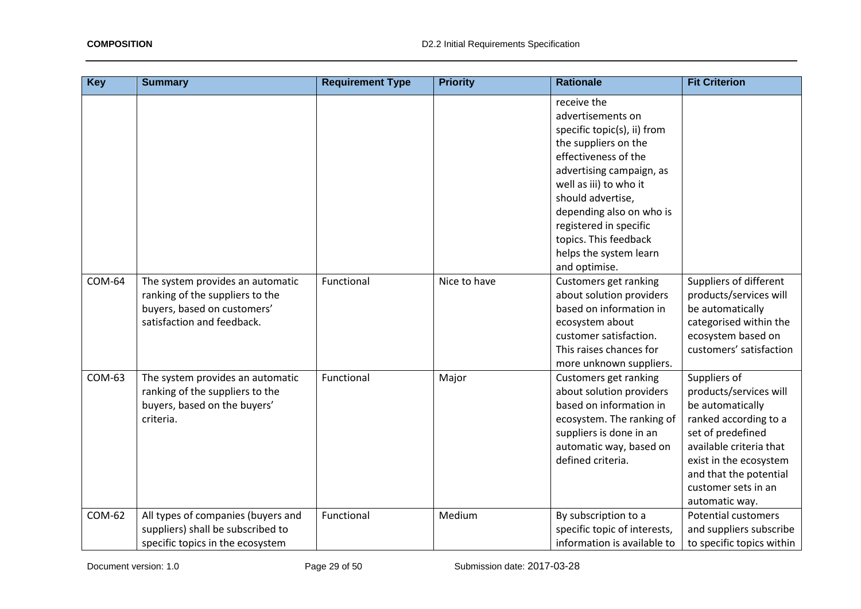| <b>Key</b>    | <b>Summary</b>                                                                                                                   | <b>Requirement Type</b> | <b>Priority</b> | <b>Rationale</b>                                                                                                                                                                                                                                                                                                     | <b>Fit Criterion</b>                                                                                                                                                                                                             |
|---------------|----------------------------------------------------------------------------------------------------------------------------------|-------------------------|-----------------|----------------------------------------------------------------------------------------------------------------------------------------------------------------------------------------------------------------------------------------------------------------------------------------------------------------------|----------------------------------------------------------------------------------------------------------------------------------------------------------------------------------------------------------------------------------|
|               |                                                                                                                                  |                         |                 | receive the<br>advertisements on<br>specific topic(s), ii) from<br>the suppliers on the<br>effectiveness of the<br>advertising campaign, as<br>well as iii) to who it<br>should advertise,<br>depending also on who is<br>registered in specific<br>topics. This feedback<br>helps the system learn<br>and optimise. |                                                                                                                                                                                                                                  |
| <b>COM-64</b> | The system provides an automatic<br>ranking of the suppliers to the<br>buyers, based on customers'<br>satisfaction and feedback. | Functional              | Nice to have    | Customers get ranking<br>about solution providers<br>based on information in<br>ecosystem about<br>customer satisfaction.<br>This raises chances for<br>more unknown suppliers.                                                                                                                                      | Suppliers of different<br>products/services will<br>be automatically<br>categorised within the<br>ecosystem based on<br>customers' satisfaction                                                                                  |
| COM-63        | The system provides an automatic<br>ranking of the suppliers to the<br>buyers, based on the buyers'<br>criteria.                 | Functional              | Major           | Customers get ranking<br>about solution providers<br>based on information in<br>ecosystem. The ranking of<br>suppliers is done in an<br>automatic way, based on<br>defined criteria.                                                                                                                                 | Suppliers of<br>products/services will<br>be automatically<br>ranked according to a<br>set of predefined<br>available criteria that<br>exist in the ecosystem<br>and that the potential<br>customer sets in an<br>automatic way. |
| COM-62        | All types of companies (buyers and<br>suppliers) shall be subscribed to<br>specific topics in the ecosystem                      | Functional              | Medium          | By subscription to a<br>specific topic of interests,<br>information is available to                                                                                                                                                                                                                                  | <b>Potential customers</b><br>and suppliers subscribe<br>to specific topics within                                                                                                                                               |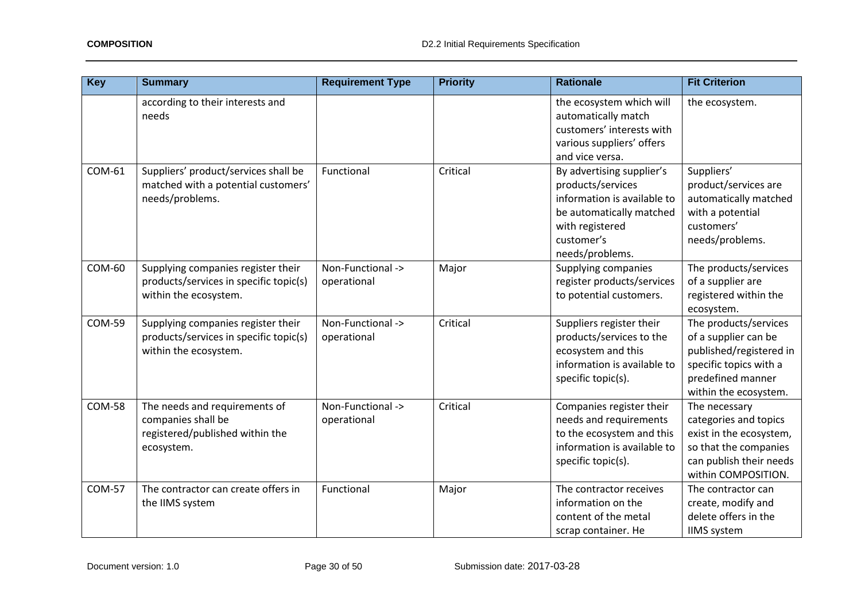| <b>Key</b>    | <b>Summary</b>                                                                                        | <b>Requirement Type</b>          | <b>Priority</b> | <b>Rationale</b>                                                                                                                                              | <b>Fit Criterion</b>                                                                                                                             |
|---------------|-------------------------------------------------------------------------------------------------------|----------------------------------|-----------------|---------------------------------------------------------------------------------------------------------------------------------------------------------------|--------------------------------------------------------------------------------------------------------------------------------------------------|
|               | according to their interests and<br>needs                                                             |                                  |                 | the ecosystem which will<br>automatically match<br>customers' interests with<br>various suppliers' offers<br>and vice versa.                                  | the ecosystem.                                                                                                                                   |
| COM-61        | Suppliers' product/services shall be<br>matched with a potential customers'<br>needs/problems.        | Functional                       | Critical        | By advertising supplier's<br>products/services<br>information is available to<br>be automatically matched<br>with registered<br>customer's<br>needs/problems. | Suppliers'<br>product/services are<br>automatically matched<br>with a potential<br>customers'<br>needs/problems.                                 |
| <b>COM-60</b> | Supplying companies register their<br>products/services in specific topic(s)<br>within the ecosystem. | Non-Functional -><br>operational | Major           | Supplying companies<br>register products/services<br>to potential customers.                                                                                  | The products/services<br>of a supplier are<br>registered within the<br>ecosystem.                                                                |
| <b>COM-59</b> | Supplying companies register their<br>products/services in specific topic(s)<br>within the ecosystem. | Non-Functional -><br>operational | Critical        | Suppliers register their<br>products/services to the<br>ecosystem and this<br>information is available to<br>specific topic(s).                               | The products/services<br>of a supplier can be<br>published/registered in<br>specific topics with a<br>predefined manner<br>within the ecosystem. |
| <b>COM-58</b> | The needs and requirements of<br>companies shall be<br>registered/published within the<br>ecosystem.  | Non-Functional -><br>operational | Critical        | Companies register their<br>needs and requirements<br>to the ecosystem and this<br>information is available to<br>specific topic(s).                          | The necessary<br>categories and topics<br>exist in the ecosystem,<br>so that the companies<br>can publish their needs<br>within COMPOSITION.     |
| <b>COM-57</b> | The contractor can create offers in<br>the IIMS system                                                | Functional                       | Major           | The contractor receives<br>information on the<br>content of the metal<br>scrap container. He                                                                  | The contractor can<br>create, modify and<br>delete offers in the<br><b>IIMS</b> system                                                           |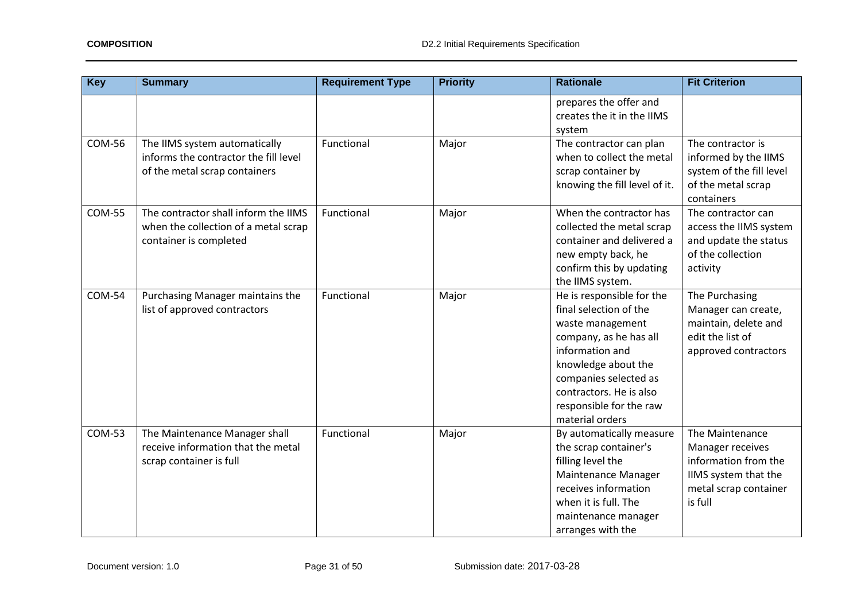| <b>Key</b>    | <b>Summary</b>                                                                                          | <b>Requirement Type</b> | <b>Priority</b> | <b>Rationale</b>                                                                                                                                                                                                                              | <b>Fit Criterion</b>                                                                                                    |
|---------------|---------------------------------------------------------------------------------------------------------|-------------------------|-----------------|-----------------------------------------------------------------------------------------------------------------------------------------------------------------------------------------------------------------------------------------------|-------------------------------------------------------------------------------------------------------------------------|
|               |                                                                                                         |                         |                 | prepares the offer and<br>creates the it in the IIMS<br>system                                                                                                                                                                                |                                                                                                                         |
| <b>COM-56</b> | The IIMS system automatically<br>informs the contractor the fill level<br>of the metal scrap containers | Functional              | Major           | The contractor can plan<br>when to collect the metal<br>scrap container by<br>knowing the fill level of it.                                                                                                                                   | The contractor is<br>informed by the IIMS<br>system of the fill level<br>of the metal scrap<br>containers               |
| <b>COM-55</b> | The contractor shall inform the IIMS<br>when the collection of a metal scrap<br>container is completed  | Functional              | Major           | When the contractor has<br>collected the metal scrap<br>container and delivered a<br>new empty back, he<br>confirm this by updating<br>the IIMS system.                                                                                       | The contractor can<br>access the IIMS system<br>and update the status<br>of the collection<br>activity                  |
| <b>COM-54</b> | Purchasing Manager maintains the<br>list of approved contractors                                        | Functional              | Major           | He is responsible for the<br>final selection of the<br>waste management<br>company, as he has all<br>information and<br>knowledge about the<br>companies selected as<br>contractors. He is also<br>responsible for the raw<br>material orders | The Purchasing<br>Manager can create,<br>maintain, delete and<br>edit the list of<br>approved contractors               |
| <b>COM-53</b> | The Maintenance Manager shall<br>receive information that the metal<br>scrap container is full          | Functional              | Major           | By automatically measure<br>the scrap container's<br>filling level the<br>Maintenance Manager<br>receives information<br>when it is full. The<br>maintenance manager<br>arranges with the                                                     | The Maintenance<br>Manager receives<br>information from the<br>IIMS system that the<br>metal scrap container<br>is full |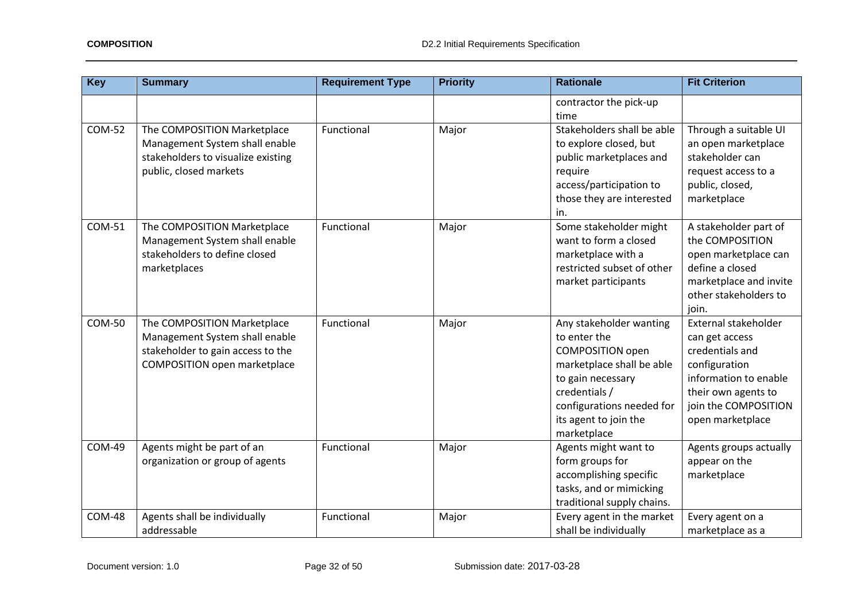| <b>Key</b>    | <b>Summary</b>                                                                                                                            | <b>Requirement Type</b> | <b>Priority</b> | <b>Rationale</b>                                                                                                                                                                                           | <b>Fit Criterion</b>                                                                                                                                                   |
|---------------|-------------------------------------------------------------------------------------------------------------------------------------------|-------------------------|-----------------|------------------------------------------------------------------------------------------------------------------------------------------------------------------------------------------------------------|------------------------------------------------------------------------------------------------------------------------------------------------------------------------|
|               |                                                                                                                                           |                         |                 | contractor the pick-up<br>time                                                                                                                                                                             |                                                                                                                                                                        |
| <b>COM-52</b> | The COMPOSITION Marketplace<br>Management System shall enable<br>stakeholders to visualize existing<br>public, closed markets             | Functional              | Major           | Stakeholders shall be able<br>to explore closed, but<br>public marketplaces and<br>require<br>access/participation to<br>those they are interested<br>in.                                                  | Through a suitable UI<br>an open marketplace<br>stakeholder can<br>request access to a<br>public, closed,<br>marketplace                                               |
| <b>COM-51</b> | The COMPOSITION Marketplace<br>Management System shall enable<br>stakeholders to define closed<br>marketplaces                            | Functional              | Major           | Some stakeholder might<br>want to form a closed<br>marketplace with a<br>restricted subset of other<br>market participants                                                                                 | A stakeholder part of<br>the COMPOSITION<br>open marketplace can<br>define a closed<br>marketplace and invite<br>other stakeholders to<br>join.                        |
| <b>COM-50</b> | The COMPOSITION Marketplace<br>Management System shall enable<br>stakeholder to gain access to the<br><b>COMPOSITION</b> open marketplace | Functional              | Major           | Any stakeholder wanting<br>to enter the<br><b>COMPOSITION</b> open<br>marketplace shall be able<br>to gain necessary<br>credentials /<br>configurations needed for<br>its agent to join the<br>marketplace | External stakeholder<br>can get access<br>credentials and<br>configuration<br>information to enable<br>their own agents to<br>join the COMPOSITION<br>open marketplace |
| <b>COM-49</b> | Agents might be part of an<br>organization or group of agents                                                                             | Functional              | Major           | Agents might want to<br>form groups for<br>accomplishing specific<br>tasks, and or mimicking<br>traditional supply chains.                                                                                 | Agents groups actually<br>appear on the<br>marketplace                                                                                                                 |
| <b>COM-48</b> | Agents shall be individually<br>addressable                                                                                               | Functional              | Major           | Every agent in the market<br>shall be individually                                                                                                                                                         | Every agent on a<br>marketplace as a                                                                                                                                   |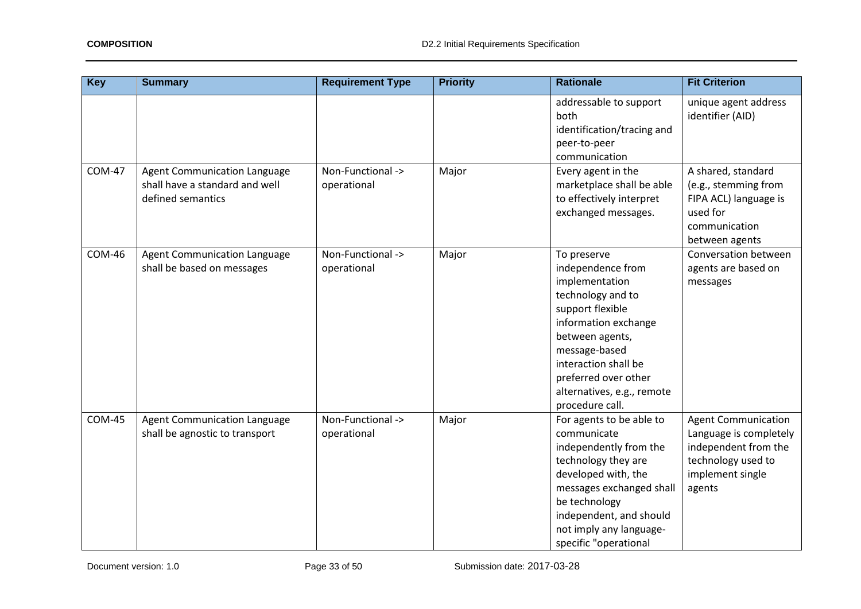| <b>Key</b>    | <b>Summary</b>                                                                             | <b>Requirement Type</b>          | <b>Priority</b> | <b>Rationale</b>                                                                                                                                                                                                                                         | <b>Fit Criterion</b>                                                                                                             |
|---------------|--------------------------------------------------------------------------------------------|----------------------------------|-----------------|----------------------------------------------------------------------------------------------------------------------------------------------------------------------------------------------------------------------------------------------------------|----------------------------------------------------------------------------------------------------------------------------------|
|               |                                                                                            |                                  |                 | addressable to support<br>both<br>identification/tracing and<br>peer-to-peer<br>communication                                                                                                                                                            | unique agent address<br>identifier (AID)                                                                                         |
| <b>COM-47</b> | <b>Agent Communication Language</b><br>shall have a standard and well<br>defined semantics | Non-Functional -><br>operational | Major           | Every agent in the<br>marketplace shall be able<br>to effectively interpret<br>exchanged messages.                                                                                                                                                       | A shared, standard<br>(e.g., stemming from<br>FIPA ACL) language is<br>used for<br>communication<br>between agents               |
| <b>COM-46</b> | <b>Agent Communication Language</b><br>shall be based on messages                          | Non-Functional -><br>operational | Major           | To preserve<br>independence from<br>implementation<br>technology and to<br>support flexible<br>information exchange<br>between agents,<br>message-based<br>interaction shall be<br>preferred over other<br>alternatives, e.g., remote<br>procedure call. | Conversation between<br>agents are based on<br>messages                                                                          |
| <b>COM-45</b> | <b>Agent Communication Language</b><br>shall be agnostic to transport                      | Non-Functional -><br>operational | Major           | For agents to be able to<br>communicate<br>independently from the<br>technology they are<br>developed with, the<br>messages exchanged shall<br>be technology<br>independent, and should<br>not imply any language-<br>specific "operational              | <b>Agent Communication</b><br>Language is completely<br>independent from the<br>technology used to<br>implement single<br>agents |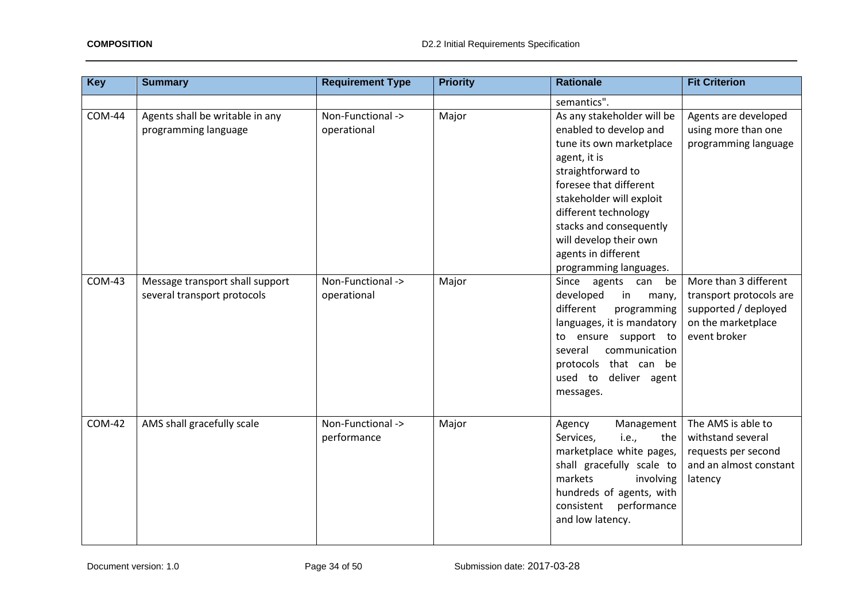| Key           | <b>Summary</b>                                                 | <b>Requirement Type</b>          | <b>Priority</b> | <b>Rationale</b>                                                                                                                                                                                                                                                                                           | <b>Fit Criterion</b>                                                                                           |
|---------------|----------------------------------------------------------------|----------------------------------|-----------------|------------------------------------------------------------------------------------------------------------------------------------------------------------------------------------------------------------------------------------------------------------------------------------------------------------|----------------------------------------------------------------------------------------------------------------|
|               |                                                                |                                  |                 | semantics".                                                                                                                                                                                                                                                                                                |                                                                                                                |
| <b>COM-44</b> | Agents shall be writable in any<br>programming language        | Non-Functional -><br>operational | Major           | As any stakeholder will be<br>enabled to develop and<br>tune its own marketplace<br>agent, it is<br>straightforward to<br>foresee that different<br>stakeholder will exploit<br>different technology<br>stacks and consequently<br>will develop their own<br>agents in different<br>programming languages. | Agents are developed<br>using more than one<br>programming language                                            |
| <b>COM-43</b> | Message transport shall support<br>several transport protocols | Non-Functional -><br>operational | Major           | Since agents can be<br>developed<br>in<br>many,<br>different<br>programming<br>languages, it is mandatory<br>ensure support to<br>to<br>communication<br>several<br>protocols that can be<br>used to deliver agent<br>messages.                                                                            | More than 3 different<br>transport protocols are<br>supported / deployed<br>on the marketplace<br>event broker |
| <b>COM-42</b> | AMS shall gracefully scale                                     | Non-Functional -><br>performance | Major           | Management<br>Agency<br>Services,<br>i.e.,<br>the<br>marketplace white pages,<br>shall gracefully scale to<br>markets<br>involving<br>hundreds of agents, with<br>consistent performance<br>and low latency.                                                                                               | The AMS is able to<br>withstand several<br>requests per second<br>and an almost constant<br>latency            |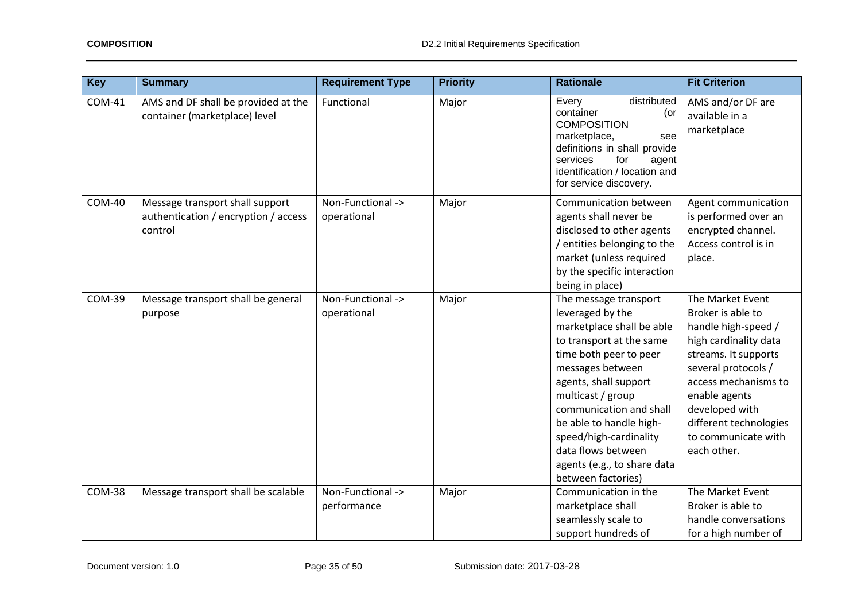| <b>Key</b>    | <b>Summary</b>                                                                     | <b>Requirement Type</b>          | <b>Priority</b> | <b>Rationale</b>                                                                                                                                                                                                                                                                                                                                          | <b>Fit Criterion</b>                                                                                                                                                                                                                                            |
|---------------|------------------------------------------------------------------------------------|----------------------------------|-----------------|-----------------------------------------------------------------------------------------------------------------------------------------------------------------------------------------------------------------------------------------------------------------------------------------------------------------------------------------------------------|-----------------------------------------------------------------------------------------------------------------------------------------------------------------------------------------------------------------------------------------------------------------|
| <b>COM-41</b> | AMS and DF shall be provided at the<br>container (marketplace) level               | Functional                       | Major           | distributed<br>Every<br>container<br>(or<br><b>COMPOSITION</b><br>marketplace,<br>see<br>definitions in shall provide<br>services<br>for<br>agent<br>identification / location and<br>for service discovery.                                                                                                                                              | AMS and/or DF are<br>available in a<br>marketplace                                                                                                                                                                                                              |
| <b>COM-40</b> | Message transport shall support<br>authentication / encryption / access<br>control | Non-Functional -><br>operational | Major           | Communication between<br>agents shall never be<br>disclosed to other agents<br>/ entities belonging to the<br>market (unless required<br>by the specific interaction<br>being in place)                                                                                                                                                                   | Agent communication<br>is performed over an<br>encrypted channel.<br>Access control is in<br>place.                                                                                                                                                             |
| <b>COM-39</b> | Message transport shall be general<br>purpose                                      | Non-Functional -><br>operational | Major           | The message transport<br>leveraged by the<br>marketplace shall be able<br>to transport at the same<br>time both peer to peer<br>messages between<br>agents, shall support<br>multicast / group<br>communication and shall<br>be able to handle high-<br>speed/high-cardinality<br>data flows between<br>agents (e.g., to share data<br>between factories) | The Market Event<br>Broker is able to<br>handle high-speed /<br>high cardinality data<br>streams. It supports<br>several protocols /<br>access mechanisms to<br>enable agents<br>developed with<br>different technologies<br>to communicate with<br>each other. |
| <b>COM-38</b> | Message transport shall be scalable                                                | Non-Functional -><br>performance | Major           | Communication in the<br>marketplace shall<br>seamlessly scale to<br>support hundreds of                                                                                                                                                                                                                                                                   | The Market Event<br>Broker is able to<br>handle conversations<br>for a high number of                                                                                                                                                                           |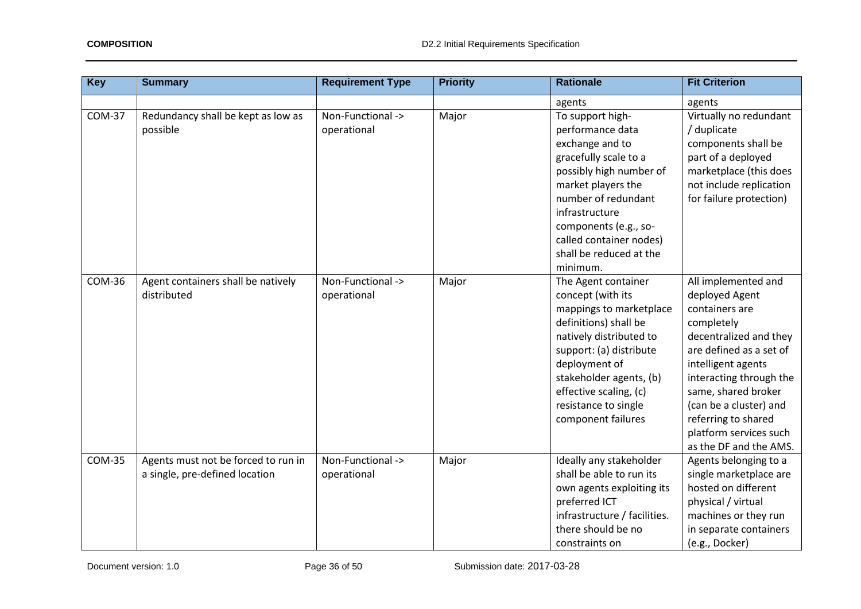| <b>Key</b>    | <b>Summary</b>                                                        | <b>Requirement Type</b>          | <b>Priority</b> | <b>Rationale</b>                                                                                                                                                                                                                                                       | <b>Fit Criterion</b>                                                                                                                                                                                                                                                                                    |
|---------------|-----------------------------------------------------------------------|----------------------------------|-----------------|------------------------------------------------------------------------------------------------------------------------------------------------------------------------------------------------------------------------------------------------------------------------|---------------------------------------------------------------------------------------------------------------------------------------------------------------------------------------------------------------------------------------------------------------------------------------------------------|
|               |                                                                       |                                  |                 | agents                                                                                                                                                                                                                                                                 | agents                                                                                                                                                                                                                                                                                                  |
| <b>COM-37</b> | Redundancy shall be kept as low as<br>possible                        | Non-Functional -><br>operational | Major           | To support high-<br>performance data<br>exchange and to<br>gracefully scale to a<br>possibly high number of<br>market players the<br>number of redundant<br>infrastructure<br>components (e.g., so-<br>called container nodes)<br>shall be reduced at the<br>minimum.  | Virtually no redundant<br>/ duplicate<br>components shall be<br>part of a deployed<br>marketplace (this does<br>not include replication<br>for failure protection)                                                                                                                                      |
| <b>COM-36</b> | Agent containers shall be natively<br>distributed                     | Non-Functional -><br>operational | Major           | The Agent container<br>concept (with its<br>mappings to marketplace<br>definitions) shall be<br>natively distributed to<br>support: (a) distribute<br>deployment of<br>stakeholder agents, (b)<br>effective scaling, (c)<br>resistance to single<br>component failures | All implemented and<br>deployed Agent<br>containers are<br>completely<br>decentralized and they<br>are defined as a set of<br>intelligent agents<br>interacting through the<br>same, shared broker<br>(can be a cluster) and<br>referring to shared<br>platform services such<br>as the DF and the AMS. |
| <b>COM-35</b> | Agents must not be forced to run in<br>a single, pre-defined location | Non-Functional -><br>operational | Major           | Ideally any stakeholder<br>shall be able to run its<br>own agents exploiting its<br>preferred ICT<br>infrastructure / facilities.<br>there should be no<br>constraints on                                                                                              | Agents belonging to a<br>single marketplace are<br>hosted on different<br>physical / virtual<br>machines or they run<br>in separate containers<br>(e.g., Docker)                                                                                                                                        |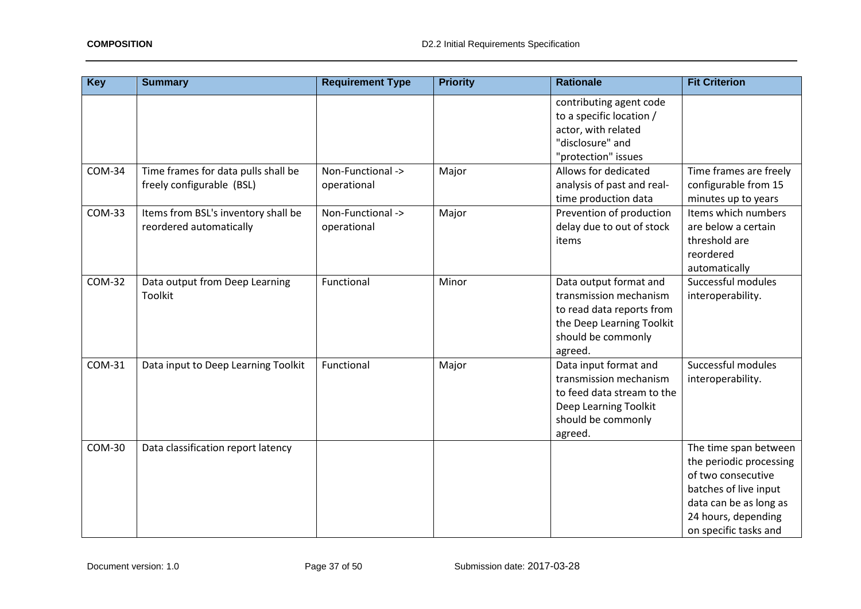| <b>Key</b>    | <b>Summary</b>                                                   | <b>Requirement Type</b>          | <b>Priority</b> | <b>Rationale</b>                                                                                                                            | <b>Fit Criterion</b>                                                                                                                                                      |
|---------------|------------------------------------------------------------------|----------------------------------|-----------------|---------------------------------------------------------------------------------------------------------------------------------------------|---------------------------------------------------------------------------------------------------------------------------------------------------------------------------|
|               |                                                                  |                                  |                 | contributing agent code<br>to a specific location /<br>actor, with related<br>"disclosure" and<br>"protection" issues                       |                                                                                                                                                                           |
| <b>COM-34</b> | Time frames for data pulls shall be<br>freely configurable (BSL) | Non-Functional -><br>operational | Major           | Allows for dedicated<br>analysis of past and real-<br>time production data                                                                  | Time frames are freely<br>configurable from 15<br>minutes up to years                                                                                                     |
| <b>COM-33</b> | Items from BSL's inventory shall be<br>reordered automatically   | Non-Functional -><br>operational | Major           | Prevention of production<br>delay due to out of stock<br>items                                                                              | Items which numbers<br>are below a certain<br>threshold are<br>reordered<br>automatically                                                                                 |
| <b>COM-32</b> | Data output from Deep Learning<br>Toolkit                        | Functional                       | Minor           | Data output format and<br>transmission mechanism<br>to read data reports from<br>the Deep Learning Toolkit<br>should be commonly<br>agreed. | Successful modules<br>interoperability.                                                                                                                                   |
| COM-31        | Data input to Deep Learning Toolkit                              | Functional                       | Major           | Data input format and<br>transmission mechanism<br>to feed data stream to the<br>Deep Learning Toolkit<br>should be commonly<br>agreed.     | Successful modules<br>interoperability.                                                                                                                                   |
| <b>COM-30</b> | Data classification report latency                               |                                  |                 |                                                                                                                                             | The time span between<br>the periodic processing<br>of two consecutive<br>batches of live input<br>data can be as long as<br>24 hours, depending<br>on specific tasks and |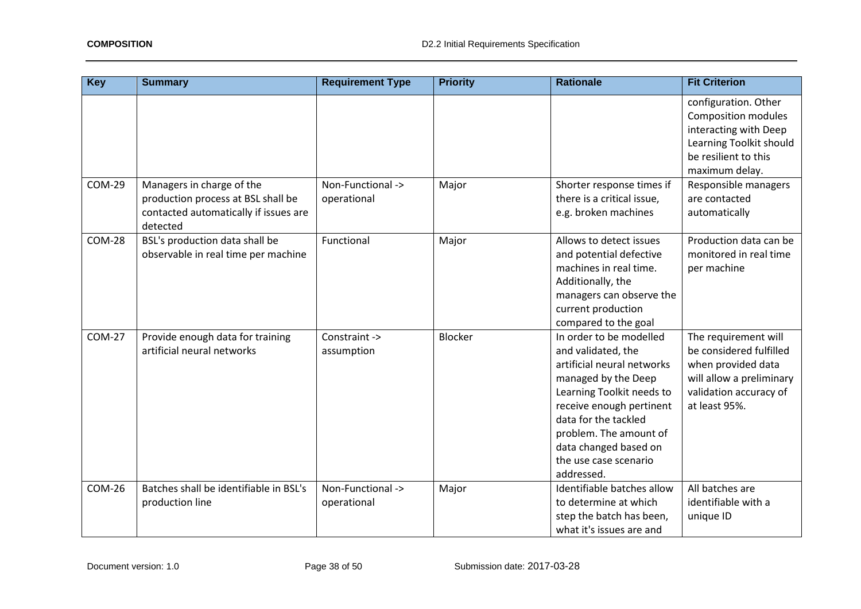| <b>Key</b>    | <b>Summary</b>                                                                                                       | <b>Requirement Type</b>          | <b>Priority</b> | <b>Rationale</b>                                                                                                                                                                                                                                                              | <b>Fit Criterion</b>                                                                                                                         |
|---------------|----------------------------------------------------------------------------------------------------------------------|----------------------------------|-----------------|-------------------------------------------------------------------------------------------------------------------------------------------------------------------------------------------------------------------------------------------------------------------------------|----------------------------------------------------------------------------------------------------------------------------------------------|
|               |                                                                                                                      |                                  |                 |                                                                                                                                                                                                                                                                               | configuration. Other<br>Composition modules<br>interacting with Deep<br>Learning Toolkit should<br>be resilient to this<br>maximum delay.    |
| <b>COM-29</b> | Managers in charge of the<br>production process at BSL shall be<br>contacted automatically if issues are<br>detected | Non-Functional -><br>operational | Major           | Shorter response times if<br>there is a critical issue,<br>e.g. broken machines                                                                                                                                                                                               | Responsible managers<br>are contacted<br>automatically                                                                                       |
| <b>COM-28</b> | BSL's production data shall be<br>observable in real time per machine                                                | Functional                       | Major           | Allows to detect issues<br>and potential defective<br>machines in real time.<br>Additionally, the<br>managers can observe the<br>current production<br>compared to the goal                                                                                                   | Production data can be<br>monitored in real time<br>per machine                                                                              |
| <b>COM-27</b> | Provide enough data for training<br>artificial neural networks                                                       | Constraint -><br>assumption      | <b>Blocker</b>  | In order to be modelled<br>and validated, the<br>artificial neural networks<br>managed by the Deep<br>Learning Toolkit needs to<br>receive enough pertinent<br>data for the tackled<br>problem. The amount of<br>data changed based on<br>the use case scenario<br>addressed. | The requirement will<br>be considered fulfilled<br>when provided data<br>will allow a preliminary<br>validation accuracy of<br>at least 95%. |
| <b>COM-26</b> | Batches shall be identifiable in BSL's<br>production line                                                            | Non-Functional -><br>operational | Major           | Identifiable batches allow<br>to determine at which<br>step the batch has been,<br>what it's issues are and                                                                                                                                                                   | All batches are<br>identifiable with a<br>unique ID                                                                                          |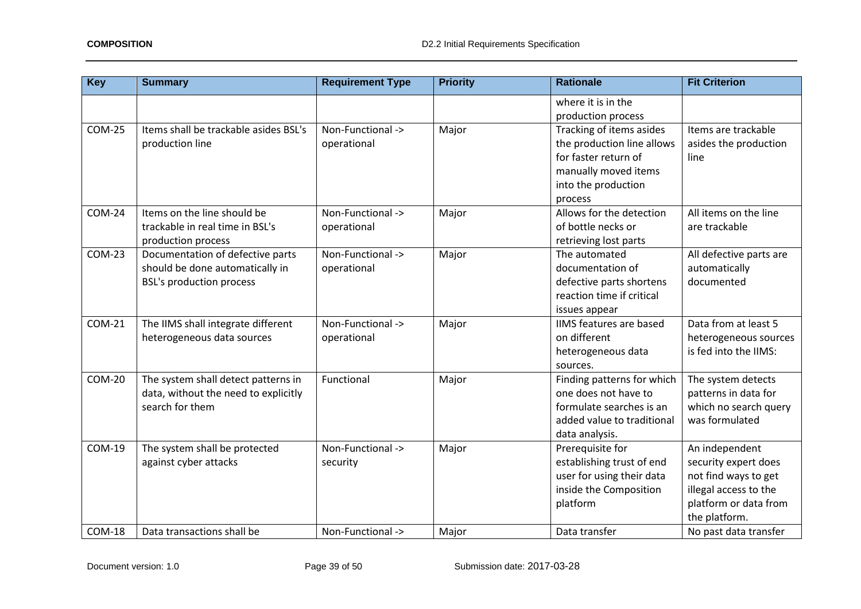| <b>Key</b>    | <b>Summary</b>                                                                                         | <b>Requirement Type</b>          | <b>Priority</b> | <b>Rationale</b>                                                                                                                         | <b>Fit Criterion</b>                                                                                                              |
|---------------|--------------------------------------------------------------------------------------------------------|----------------------------------|-----------------|------------------------------------------------------------------------------------------------------------------------------------------|-----------------------------------------------------------------------------------------------------------------------------------|
|               |                                                                                                        |                                  |                 | where it is in the<br>production process                                                                                                 |                                                                                                                                   |
| <b>COM-25</b> | Items shall be trackable asides BSL's<br>production line                                               | Non-Functional -><br>operational | Major           | Tracking of items asides<br>the production line allows<br>for faster return of<br>manually moved items<br>into the production<br>process | Items are trackable<br>asides the production<br>line                                                                              |
| $COM-24$      | Items on the line should be<br>trackable in real time in BSL's<br>production process                   | Non-Functional -><br>operational | Major           | Allows for the detection<br>of bottle necks or<br>retrieving lost parts                                                                  | All items on the line<br>are trackable                                                                                            |
| <b>COM-23</b> | Documentation of defective parts<br>should be done automatically in<br><b>BSL's production process</b> | Non-Functional -><br>operational | Major           | The automated<br>documentation of<br>defective parts shortens<br>reaction time if critical<br>issues appear                              | All defective parts are<br>automatically<br>documented                                                                            |
| <b>COM-21</b> | The IIMS shall integrate different<br>heterogeneous data sources                                       | Non-Functional -><br>operational | Major           | IIMS features are based<br>on different<br>heterogeneous data<br>sources.                                                                | Data from at least 5<br>heterogeneous sources<br>is fed into the IIMS:                                                            |
| <b>COM-20</b> | The system shall detect patterns in<br>data, without the need to explicitly<br>search for them         | Functional                       | Major           | Finding patterns for which<br>one does not have to<br>formulate searches is an<br>added value to traditional<br>data analysis.           | The system detects<br>patterns in data for<br>which no search query<br>was formulated                                             |
| COM-19        | The system shall be protected<br>against cyber attacks                                                 | Non-Functional -><br>security    | Major           | Prerequisite for<br>establishing trust of end<br>user for using their data<br>inside the Composition<br>platform                         | An independent<br>security expert does<br>not find ways to get<br>illegal access to the<br>platform or data from<br>the platform. |
| $COM-18$      | Data transactions shall be                                                                             | Non-Functional ->                | Major           | Data transfer                                                                                                                            | No past data transfer                                                                                                             |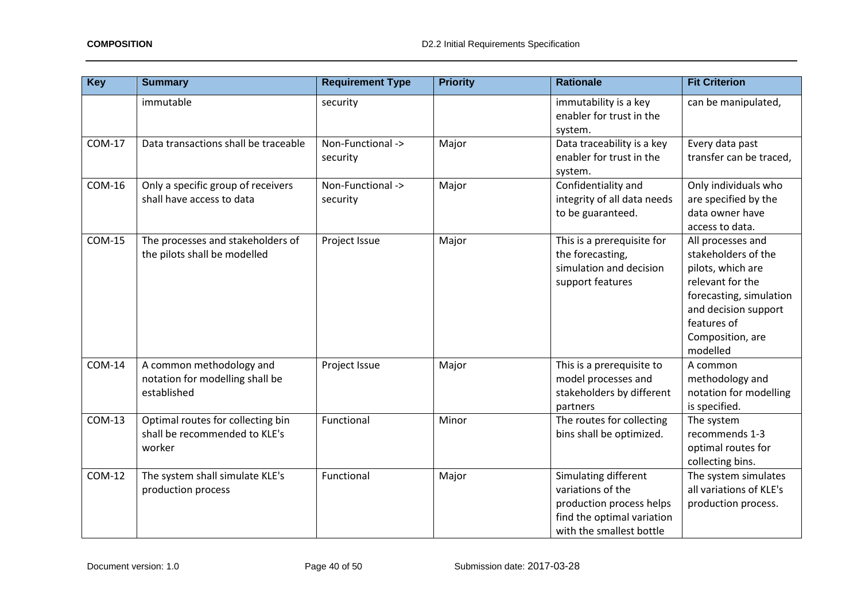| <b>Key</b>    | <b>Summary</b>                                                               | <b>Requirement Type</b>       | <b>Priority</b> | <b>Rationale</b>                                                                                                                | <b>Fit Criterion</b>                                                                                                                                                                |
|---------------|------------------------------------------------------------------------------|-------------------------------|-----------------|---------------------------------------------------------------------------------------------------------------------------------|-------------------------------------------------------------------------------------------------------------------------------------------------------------------------------------|
|               | immutable                                                                    | security                      |                 | immutability is a key<br>enabler for trust in the<br>system.                                                                    | can be manipulated,                                                                                                                                                                 |
| <b>COM-17</b> | Data transactions shall be traceable                                         | Non-Functional -><br>security | Major           | Data traceability is a key<br>enabler for trust in the<br>system.                                                               | Every data past<br>transfer can be traced,                                                                                                                                          |
| <b>COM-16</b> | Only a specific group of receivers<br>shall have access to data              | Non-Functional -><br>security | Major           | Confidentiality and<br>integrity of all data needs<br>to be guaranteed.                                                         | Only individuals who<br>are specified by the<br>data owner have<br>access to data.                                                                                                  |
| <b>COM-15</b> | The processes and stakeholders of<br>the pilots shall be modelled            | Project Issue                 | Major           | This is a prerequisite for<br>the forecasting,<br>simulation and decision<br>support features                                   | All processes and<br>stakeholders of the<br>pilots, which are<br>relevant for the<br>forecasting, simulation<br>and decision support<br>features of<br>Composition, are<br>modelled |
| <b>COM-14</b> | A common methodology and<br>notation for modelling shall be<br>established   | Project Issue                 | Major           | This is a prerequisite to<br>model processes and<br>stakeholders by different<br>partners                                       | A common<br>methodology and<br>notation for modelling<br>is specified.                                                                                                              |
| <b>COM-13</b> | Optimal routes for collecting bin<br>shall be recommended to KLE's<br>worker | Functional                    | Minor           | The routes for collecting<br>bins shall be optimized.                                                                           | The system<br>recommends 1-3<br>optimal routes for<br>collecting bins.                                                                                                              |
| <b>COM-12</b> | The system shall simulate KLE's<br>production process                        | Functional                    | Major           | Simulating different<br>variations of the<br>production process helps<br>find the optimal variation<br>with the smallest bottle | The system simulates<br>all variations of KLE's<br>production process.                                                                                                              |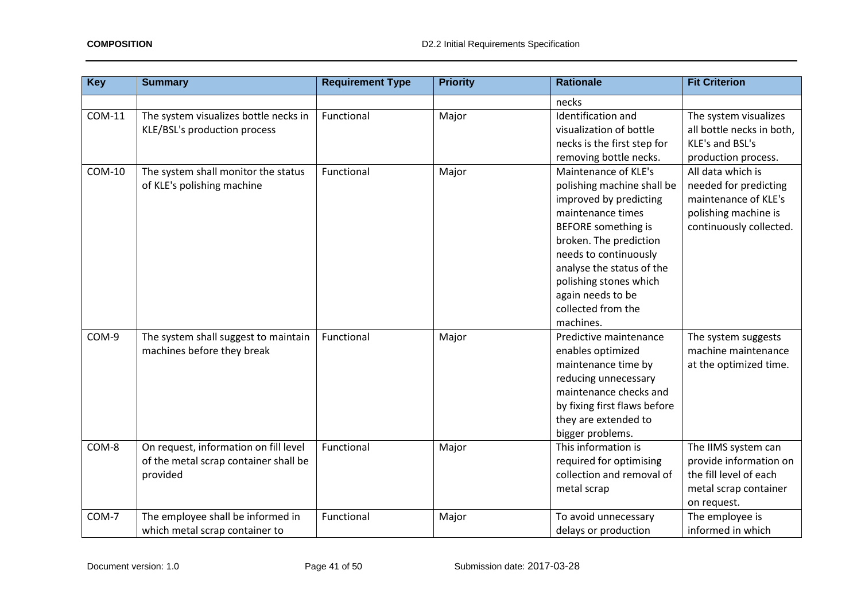| <b>Key</b>    | <b>Summary</b>                                                                             | <b>Requirement Type</b> | <b>Priority</b> | <b>Rationale</b>                                                                                                                                                                                                                                                                                  | <b>Fit Criterion</b>                                                                                                  |
|---------------|--------------------------------------------------------------------------------------------|-------------------------|-----------------|---------------------------------------------------------------------------------------------------------------------------------------------------------------------------------------------------------------------------------------------------------------------------------------------------|-----------------------------------------------------------------------------------------------------------------------|
|               |                                                                                            |                         |                 | necks                                                                                                                                                                                                                                                                                             |                                                                                                                       |
| <b>COM-11</b> | The system visualizes bottle necks in<br>KLE/BSL's production process                      | Functional              | Major           | Identification and<br>visualization of bottle<br>necks is the first step for<br>removing bottle necks.                                                                                                                                                                                            | The system visualizes<br>all bottle necks in both,<br>KLE's and BSL's<br>production process.                          |
| <b>COM-10</b> | The system shall monitor the status<br>of KLE's polishing machine                          | Functional              | Major           | Maintenance of KLE's<br>polishing machine shall be<br>improved by predicting<br>maintenance times<br><b>BEFORE</b> something is<br>broken. The prediction<br>needs to continuously<br>analyse the status of the<br>polishing stones which<br>again needs to be<br>collected from the<br>machines. | All data which is<br>needed for predicting<br>maintenance of KLE's<br>polishing machine is<br>continuously collected. |
| COM-9         | The system shall suggest to maintain<br>machines before they break                         | Functional              | Major           | Predictive maintenance<br>enables optimized<br>maintenance time by<br>reducing unnecessary<br>maintenance checks and<br>by fixing first flaws before<br>they are extended to<br>bigger problems.                                                                                                  | The system suggests<br>machine maintenance<br>at the optimized time.                                                  |
| COM-8         | On request, information on fill level<br>of the metal scrap container shall be<br>provided | Functional              | Major           | This information is<br>required for optimising<br>collection and removal of<br>metal scrap                                                                                                                                                                                                        | The IIMS system can<br>provide information on<br>the fill level of each<br>metal scrap container<br>on request.       |
| COM-7         | The employee shall be informed in<br>which metal scrap container to                        | Functional              | Major           | To avoid unnecessary<br>delays or production                                                                                                                                                                                                                                                      | The employee is<br>informed in which                                                                                  |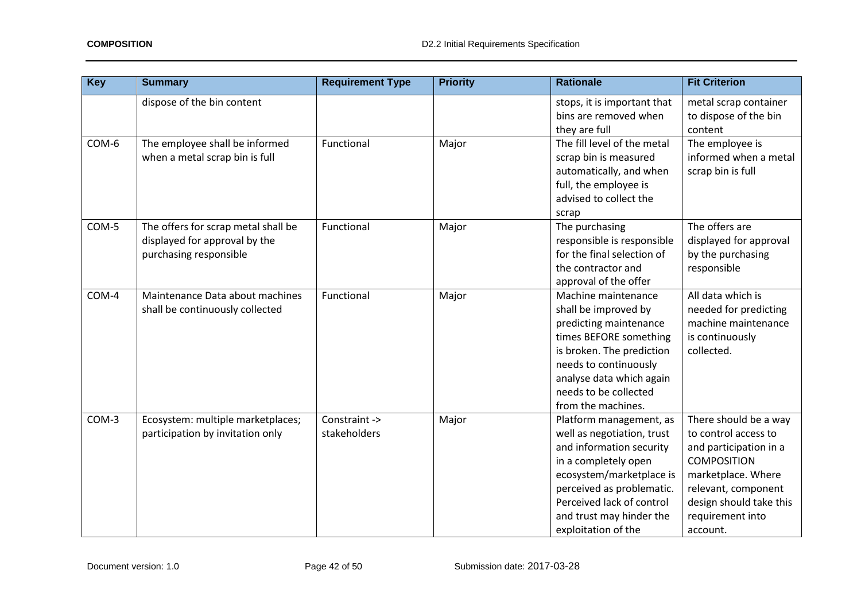| <b>Key</b> | <b>Summary</b>                                                                                 | <b>Requirement Type</b>       | <b>Priority</b> | <b>Rationale</b>                                                                                                                                                                                                                                   | <b>Fit Criterion</b>                                                                                                                                                                                  |
|------------|------------------------------------------------------------------------------------------------|-------------------------------|-----------------|----------------------------------------------------------------------------------------------------------------------------------------------------------------------------------------------------------------------------------------------------|-------------------------------------------------------------------------------------------------------------------------------------------------------------------------------------------------------|
|            | dispose of the bin content                                                                     |                               |                 | stops, it is important that<br>bins are removed when<br>they are full                                                                                                                                                                              | metal scrap container<br>to dispose of the bin<br>content                                                                                                                                             |
| COM-6      | The employee shall be informed<br>when a metal scrap bin is full                               | Functional                    | Major           | The fill level of the metal<br>scrap bin is measured<br>automatically, and when<br>full, the employee is<br>advised to collect the<br>scrap                                                                                                        | The employee is<br>informed when a metal<br>scrap bin is full                                                                                                                                         |
| COM-5      | The offers for scrap metal shall be<br>displayed for approval by the<br>purchasing responsible | Functional                    | Major           | The purchasing<br>responsible is responsible<br>for the final selection of<br>the contractor and<br>approval of the offer                                                                                                                          | The offers are<br>displayed for approval<br>by the purchasing<br>responsible                                                                                                                          |
| COM-4      | Maintenance Data about machines<br>shall be continuously collected                             | Functional                    | Major           | Machine maintenance<br>shall be improved by<br>predicting maintenance<br>times BEFORE something<br>is broken. The prediction<br>needs to continuously<br>analyse data which again<br>needs to be collected<br>from the machines.                   | All data which is<br>needed for predicting<br>machine maintenance<br>is continuously<br>collected.                                                                                                    |
| COM-3      | Ecosystem: multiple marketplaces;<br>participation by invitation only                          | Constraint -><br>stakeholders | Major           | Platform management, as<br>well as negotiation, trust<br>and information security<br>in a completely open<br>ecosystem/marketplace is<br>perceived as problematic.<br>Perceived lack of control<br>and trust may hinder the<br>exploitation of the | There should be a way<br>to control access to<br>and participation in a<br><b>COMPOSITION</b><br>marketplace. Where<br>relevant, component<br>design should take this<br>requirement into<br>account. |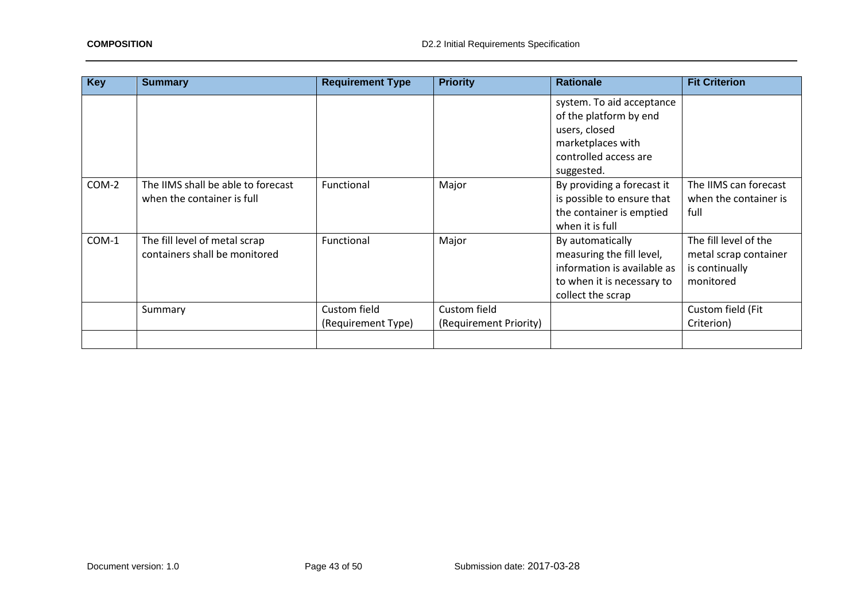| <b>Key</b> | <b>Summary</b>                                                   | <b>Requirement Type</b>            | <b>Priority</b>                        | <b>Rationale</b>                                                                                                                 | <b>Fit Criterion</b>                                                          |
|------------|------------------------------------------------------------------|------------------------------------|----------------------------------------|----------------------------------------------------------------------------------------------------------------------------------|-------------------------------------------------------------------------------|
|            |                                                                  |                                    |                                        | system. To aid acceptance<br>of the platform by end<br>users, closed<br>marketplaces with<br>controlled access are<br>suggested. |                                                                               |
| COM-2      | The IIMS shall be able to forecast<br>when the container is full | Functional                         | Major                                  | By providing a forecast it<br>is possible to ensure that<br>the container is emptied<br>when it is full                          | The IIMS can forecast<br>when the container is<br>full                        |
| $COM-1$    | The fill level of metal scrap<br>containers shall be monitored   | Functional                         | Major                                  | By automatically<br>measuring the fill level,<br>information is available as<br>to when it is necessary to<br>collect the scrap  | The fill level of the<br>metal scrap container<br>is continually<br>monitored |
|            | Summary                                                          | Custom field<br>(Requirement Type) | Custom field<br>(Requirement Priority) |                                                                                                                                  | Custom field (Fit<br>Criterion)                                               |
|            |                                                                  |                                    |                                        |                                                                                                                                  |                                                                               |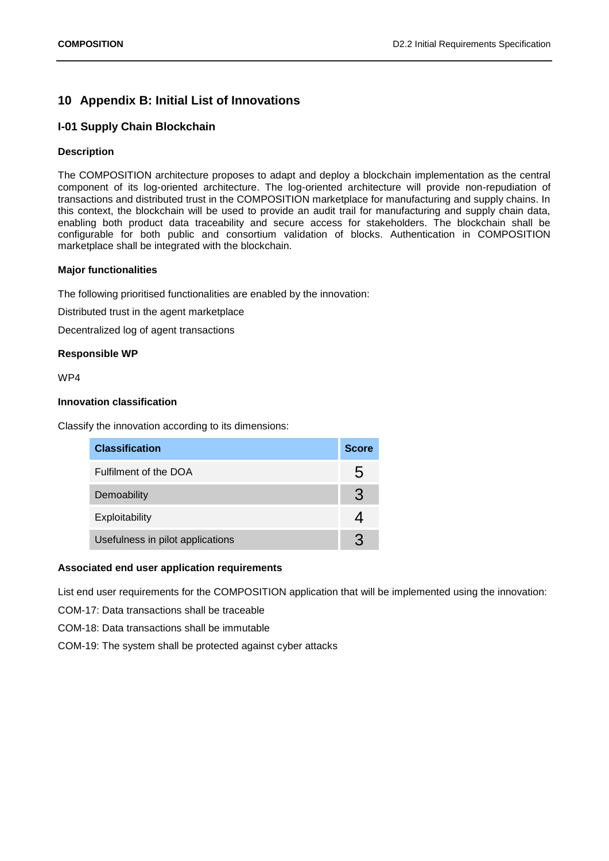## <span id="page-43-0"></span>**10 Appendix B: Initial List of Innovations**

## **I-01 Supply Chain Blockchain**

### **Description**

The COMPOSITION architecture proposes to adapt and deploy a blockchain implementation as the central component of its log-oriented architecture. The log-oriented architecture will provide non-repudiation of transactions and distributed trust in the COMPOSITION marketplace for manufacturing and supply chains. In this context, the blockchain will be used to provide an audit trail for manufacturing and supply chain data, enabling both product data traceability and secure access for stakeholders. The blockchain shall be configurable for both public and consortium validation of blocks. Authentication in COMPOSITION marketplace shall be integrated with the blockchain.

### **Major functionalities**

The following prioritised functionalities are enabled by the innovation:

Distributed trust in the agent marketplace

Decentralized log of agent transactions

### **Responsible WP**

WP4

### **Innovation classification**

Classify the innovation according to its dimensions:

| <b>Classification</b>            | <b>Score</b> |
|----------------------------------|--------------|
| Fulfilment of the DOA            | 5            |
| Demoability                      | 3            |
| Exploitability                   |              |
| Usefulness in pilot applications | R            |

## **Associated end user application requirements**

List end user requirements for the COMPOSITION application that will be implemented using the innovation:

- COM-17: Data transactions shall be traceable
- COM-18: Data transactions shall be immutable
- COM-19: The system shall be protected against cyber attacks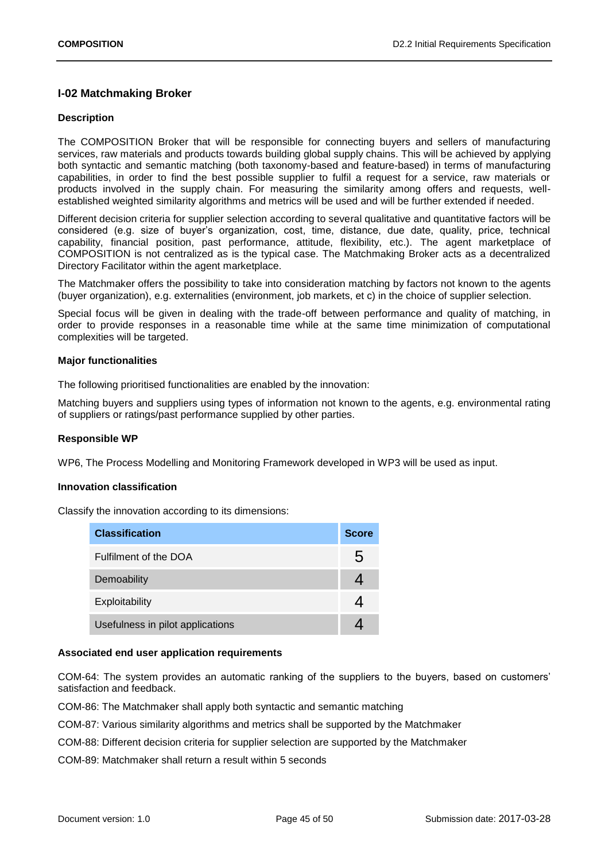## **I-02 Matchmaking Broker**

### **Description**

The COMPOSITION Broker that will be responsible for connecting buyers and sellers of manufacturing services, raw materials and products towards building global supply chains. This will be achieved by applying both syntactic and semantic matching (both taxonomy-based and feature-based) in terms of manufacturing capabilities, in order to find the best possible supplier to fulfil a request for a service, raw materials or products involved in the supply chain. For measuring the similarity among offers and requests, wellestablished weighted similarity algorithms and metrics will be used and will be further extended if needed.

Different decision criteria for supplier selection according to several qualitative and quantitative factors will be considered (e.g. size of buyer's organization, cost, time, distance, due date, quality, price, technical capability, financial position, past performance, attitude, flexibility, etc.). The agent marketplace of COMPOSITION is not centralized as is the typical case. The Matchmaking Broker acts as a decentralized Directory Facilitator within the agent marketplace.

The Matchmaker offers the possibility to take into consideration matching by factors not known to the agents (buyer organization), e.g. externalities (environment, job markets, et c) in the choice of supplier selection.

Special focus will be given in dealing with the trade-off between performance and quality of matching, in order to provide responses in a reasonable time while at the same time minimization of computational complexities will be targeted.

### **Major functionalities**

The following prioritised functionalities are enabled by the innovation:

Matching buyers and suppliers using types of information not known to the agents, e.g. environmental rating of suppliers or ratings/past performance supplied by other parties.

### **Responsible WP**

WP6, The Process Modelling and Monitoring Framework developed in WP3 will be used as input.

### **Innovation classification**

Classify the innovation according to its dimensions:

| <b>Classification</b>            | <b>Score</b> |
|----------------------------------|--------------|
| Fulfilment of the DOA            | 5            |
| Demoability                      |              |
| Exploitability                   |              |
| Usefulness in pilot applications |              |

### **Associated end user application requirements**

COM-64: The system provides an automatic ranking of the suppliers to the buyers, based on customers' satisfaction and feedback.

COM-86: The Matchmaker shall apply both syntactic and semantic matching

COM-87: Various similarity algorithms and metrics shall be supported by the Matchmaker

COM-88: Different decision criteria for supplier selection are supported by the Matchmaker

COM-89: Matchmaker shall return a result within 5 seconds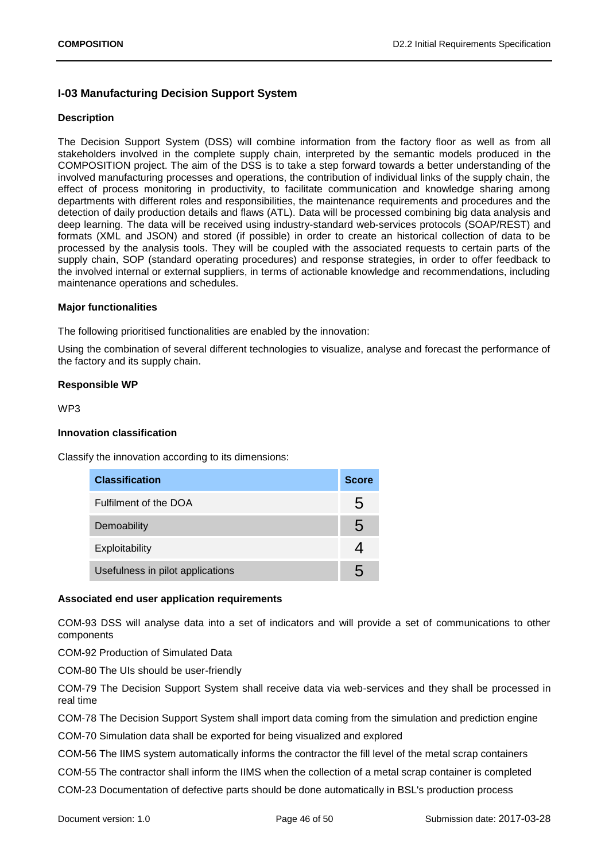## **I-03 Manufacturing Decision Support System**

### **Description**

The Decision Support System (DSS) will combine information from the factory floor as well as from all stakeholders involved in the complete supply chain, interpreted by the semantic models produced in the COMPOSITION project. The aim of the DSS is to take a step forward towards a better understanding of the involved manufacturing processes and operations, the contribution of individual links of the supply chain, the effect of process monitoring in productivity, to facilitate communication and knowledge sharing among departments with different roles and responsibilities, the maintenance requirements and procedures and the detection of daily production details and flaws (ATL). Data will be processed combining big data analysis and deep learning. The data will be received using industry-standard web-services protocols (SOAP/REST) and formats (XML and JSON) and stored (if possible) in order to create an historical collection of data to be processed by the analysis tools. They will be coupled with the associated requests to certain parts of the supply chain, SOP (standard operating procedures) and response strategies, in order to offer feedback to the involved internal or external suppliers, in terms of actionable knowledge and recommendations, including maintenance operations and schedules.

### **Major functionalities**

The following prioritised functionalities are enabled by the innovation:

Using the combination of several different technologies to visualize, analyse and forecast the performance of the factory and its supply chain.

### **Responsible WP**

WP3

### **Innovation classification**

Classify the innovation according to its dimensions:

| <b>Classification</b>            | <b>Score</b> |
|----------------------------------|--------------|
| Fulfilment of the DOA            | 5            |
| Demoability                      | 5            |
| Exploitability                   |              |
| Usefulness in pilot applications | h            |

## **Associated end user application requirements**

COM-93 DSS will analyse data into a set of indicators and will provide a set of communications to other components

COM-92 Production of Simulated Data

COM-80 The UIs should be user-friendly

COM-79 The Decision Support System shall receive data via web-services and they shall be processed in real time

COM-78 The Decision Support System shall import data coming from the simulation and prediction engine

COM-70 Simulation data shall be exported for being visualized and explored

COM-56 The IIMS system automatically informs the contractor the fill level of the metal scrap containers

COM-55 The contractor shall inform the IIMS when the collection of a metal scrap container is completed

COM-23 Documentation of defective parts should be done automatically in BSL's production process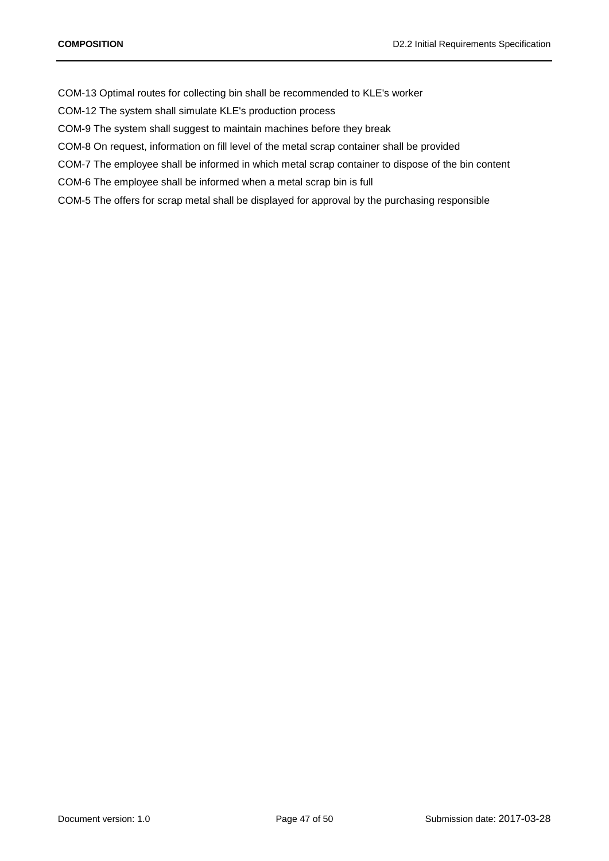COM-13 Optimal routes for collecting bin shall be recommended to KLE's worker

COM-12 The system shall simulate KLE's production process

COM-9 The system shall suggest to maintain machines before they break

COM-8 On request, information on fill level of the metal scrap container shall be provided

COM-7 The employee shall be informed in which metal scrap container to dispose of the bin content

COM-6 The employee shall be informed when a metal scrap bin is full

COM-5 The offers for scrap metal shall be displayed for approval by the purchasing responsible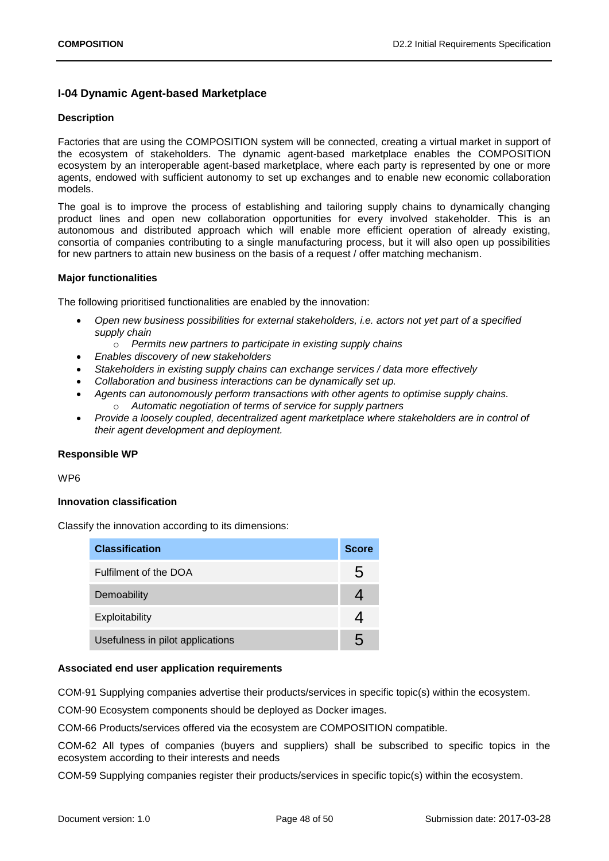## **I-04 Dynamic Agent-based Marketplace**

### **Description**

Factories that are using the COMPOSITION system will be connected, creating a virtual market in support of the ecosystem of stakeholders. The dynamic agent-based marketplace enables the COMPOSITION ecosystem by an interoperable agent-based marketplace, where each party is represented by one or more agents, endowed with sufficient autonomy to set up exchanges and to enable new economic collaboration models.

The goal is to improve the process of establishing and tailoring supply chains to dynamically changing product lines and open new collaboration opportunities for every involved stakeholder. This is an autonomous and distributed approach which will enable more efficient operation of already existing, consortia of companies contributing to a single manufacturing process, but it will also open up possibilities for new partners to attain new business on the basis of a request / offer matching mechanism.

### **Major functionalities**

The following prioritised functionalities are enabled by the innovation:

- *Open new business possibilities for external stakeholders, i.e. actors not yet part of a specified supply chain*
	- o *Permits new partners to participate in existing supply chains*
- *Enables discovery of new stakeholders*
- *Stakeholders in existing supply chains can exchange services / data more effectively*
- *Collaboration and business interactions can be dynamically set up.*
- *Agents can autonomously perform transactions with other agents to optimise supply chains.* o *Automatic negotiation of terms of service for supply partners*
- *Provide a loosely coupled, decentralized agent marketplace where stakeholders are in control of their agent development and deployment.*

### **Responsible WP**

WP6

### **Innovation classification**

Classify the innovation according to its dimensions:

| <b>Classification</b>            | <b>Score</b> |
|----------------------------------|--------------|
| Fulfilment of the DOA            | 5            |
| Demoability                      |              |
| Exploitability                   |              |
| Usefulness in pilot applications | h            |

### **Associated end user application requirements**

COM-91 Supplying companies advertise their products/services in specific topic(s) within the ecosystem.

COM-90 Ecosystem components should be deployed as Docker images.

COM-66 Products/services offered via the ecosystem are COMPOSITION compatible.

COM-62 All types of companies (buyers and suppliers) shall be subscribed to specific topics in the ecosystem according to their interests and needs

COM-59 Supplying companies register their products/services in specific topic(s) within the ecosystem.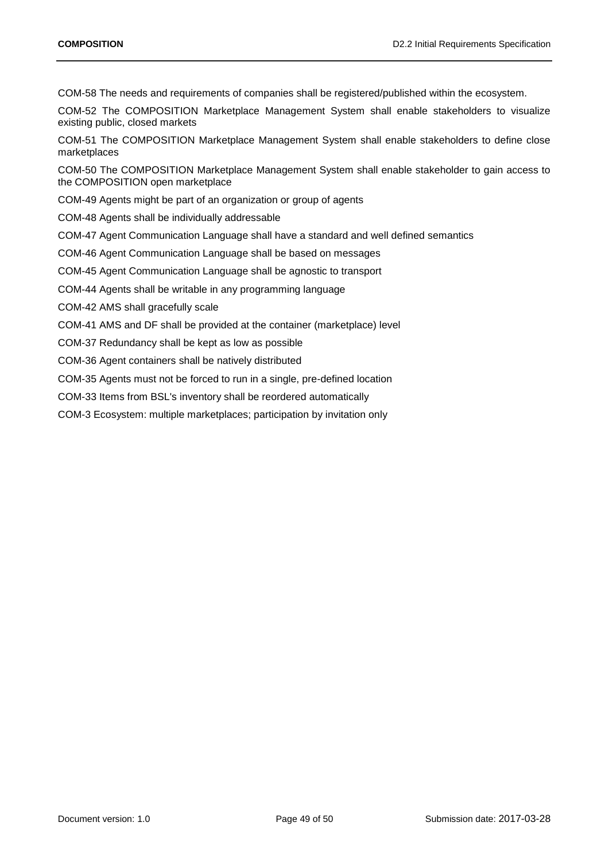COM-58 The needs and requirements of companies shall be registered/published within the ecosystem.

COM-52 The COMPOSITION Marketplace Management System shall enable stakeholders to visualize existing public, closed markets

COM-51 The COMPOSITION Marketplace Management System shall enable stakeholders to define close marketplaces

COM-50 The COMPOSITION Marketplace Management System shall enable stakeholder to gain access to the COMPOSITION open marketplace

COM-49 Agents might be part of an organization or group of agents

COM-48 Agents shall be individually addressable

COM-47 Agent Communication Language shall have a standard and well defined semantics

COM-46 Agent Communication Language shall be based on messages

COM-45 Agent Communication Language shall be agnostic to transport

COM-44 Agents shall be writable in any programming language

COM-42 AMS shall gracefully scale

COM-41 AMS and DF shall be provided at the container (marketplace) level

COM-37 Redundancy shall be kept as low as possible

COM-36 Agent containers shall be natively distributed

COM-35 Agents must not be forced to run in a single, pre-defined location

COM-33 Items from BSL's inventory shall be reordered automatically

COM-3 Ecosystem: multiple marketplaces; participation by invitation only